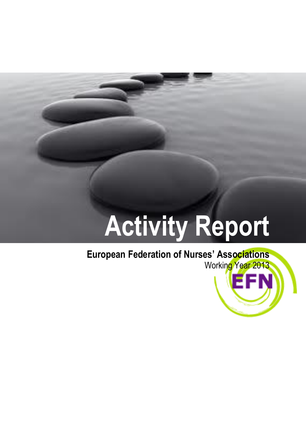# **Activity Report**

## **European Federation of Nurses' Associations**

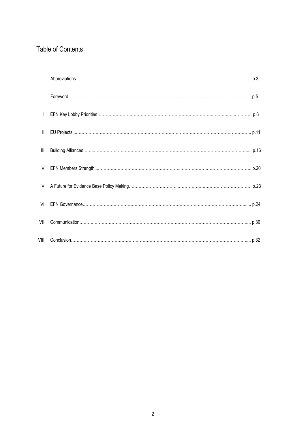## Table of Contents

| III. |  |
|------|--|
|      |  |
|      |  |
|      |  |
|      |  |
|      |  |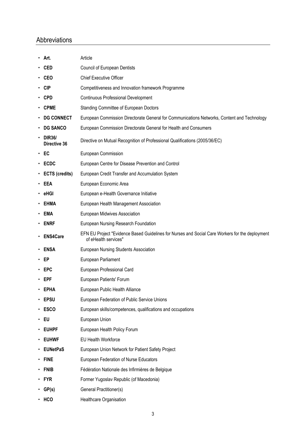## Abbreviations

| Art.<br>٠                     | Article                                                                                                                 |  |  |
|-------------------------------|-------------------------------------------------------------------------------------------------------------------------|--|--|
| CED                           | <b>Council of European Dentists</b>                                                                                     |  |  |
| CEO                           | <b>Chief Executive Officer</b>                                                                                          |  |  |
| CIP                           | Competitiveness and Innovation framework Programme                                                                      |  |  |
| <b>CPD</b>                    | <b>Continuous Professional Development</b>                                                                              |  |  |
| <b>CPME</b>                   | Standing Committee of European Doctors                                                                                  |  |  |
| <b>DG CONNECT</b>             | European Commission Directorate General for Communications Networks, Content and Technology                             |  |  |
| <b>DG SANCO</b>               | European Commission Directorate General for Health and Consumers                                                        |  |  |
| <b>DIR36/</b><br>Directive 36 | Directive on Mutual Recognition of Professional Qualifications (2005/36/EC)                                             |  |  |
| - EC                          | European Commission                                                                                                     |  |  |
| ECDC                          | European Centre for Disease Prevention and Control                                                                      |  |  |
| <b>ECTS (credits)</b>         | European Credit Transfer and Accumulation System                                                                        |  |  |
| EEA                           | European Economic Area                                                                                                  |  |  |
| eHGI                          | European e-Health Governance Initiative                                                                                 |  |  |
| EHMA                          | European Health Management Association                                                                                  |  |  |
| EMA                           | European Midwives Association                                                                                           |  |  |
| <b>ENRF</b>                   | European Nursing Research Foundation                                                                                    |  |  |
| <b>ENS4Care</b>               | EFN EU Project "Evidence Based Guidelines for Nurses and Social Care Workers for the deployment<br>of eHealth services" |  |  |
| ENSA                          | European Nursing Students Association                                                                                   |  |  |
| EP                            | European Parliament                                                                                                     |  |  |
| <b>EPC</b>                    | European Professional Card                                                                                              |  |  |
| EPF                           | European Patients' Forum                                                                                                |  |  |
| <b>EPHA</b>                   | European Public Health Alliance                                                                                         |  |  |
| <b>EPSU</b>                   | European Federation of Public Service Unions                                                                            |  |  |
| <b>ESCO</b>                   | European skills/competences, qualifications and occupations                                                             |  |  |
| EU<br>٠                       | European Union                                                                                                          |  |  |
| <b>EUHPF</b>                  | European Health Policy Forum                                                                                            |  |  |
| <b>EUHWF</b>                  | EU Health Workforce                                                                                                     |  |  |
| <b>EUNetPaS</b>               | European Union Network for Patient Safety Project                                                                       |  |  |
| <b>FINE</b>                   | European Federation of Nurse Educators                                                                                  |  |  |
| <b>FNIB</b>                   | Fédération Nationale des Infirmières de Belgique                                                                        |  |  |
| <b>FYR</b>                    | Former Yugoslav Republic (of Macedonia)                                                                                 |  |  |
| GP(s)                         | General Practitioner(s)                                                                                                 |  |  |
| HCO                           | Healthcare Organisation                                                                                                 |  |  |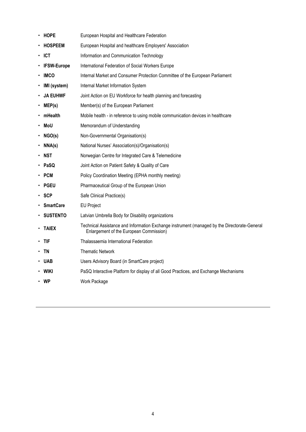|   | <b>HOPE</b>        | European Hospital and Healthcare Federation                                                                                             |  |  |
|---|--------------------|-----------------------------------------------------------------------------------------------------------------------------------------|--|--|
|   | HOSPEEM            | European Hospital and healthcare Employers' Association                                                                                 |  |  |
| ٠ | <b>ICT</b>         | Information and Communication Technology                                                                                                |  |  |
|   | <b>IFSW-Europe</b> | International Federation of Social Workers Europe                                                                                       |  |  |
|   | IMCO               | Internal Market and Consumer Protection Committee of the European Parliament                                                            |  |  |
|   | IMI (system)       | Internal Market Information System                                                                                                      |  |  |
|   | <b>JA EUHWF</b>    | Joint Action on EU Workforce for health planning and forecasting                                                                        |  |  |
|   | MEP(s)             | Member(s) of the European Parliament                                                                                                    |  |  |
|   | mHealth            | Mobile health - in reference to using mobile communication devices in healthcare                                                        |  |  |
|   | MoU                | Memorandum of Understanding                                                                                                             |  |  |
|   | $\cdot$ NGO(s)     | Non-Governmental Organisation(s)                                                                                                        |  |  |
|   | NNA(s)             | National Nurses' Association(s)/Organisation(s)                                                                                         |  |  |
|   | NST                | Norwegian Centre for Integrated Care & Telemedicine                                                                                     |  |  |
|   | PaSQ               | Joint Action on Patient Safety & Quality of Care                                                                                        |  |  |
|   | <b>PCM</b>         | Policy Coordination Meeting (EPHA monthly meeting)                                                                                      |  |  |
|   | PGEU               | Pharmaceutical Group of the European Union                                                                                              |  |  |
|   | <b>SCP</b>         | Safe Clinical Practice(s)                                                                                                               |  |  |
|   | <b>SmartCare</b>   | <b>EU Project</b>                                                                                                                       |  |  |
|   | <b>· SUSTENTO</b>  | Latvian Umbrella Body for Disability organizations                                                                                      |  |  |
|   | <b>TAIEX</b>       | Technical Assistance and Information Exchange instrument (managed by the Directorate-General<br>Enlargement of the European Commission) |  |  |
| ٠ | <b>TIF</b>         | Thalassaemia International Federation                                                                                                   |  |  |
|   | <b>TN</b>          | <b>Thematic Network</b>                                                                                                                 |  |  |
|   | UAB                | Users Advisory Board (in SmartCare project)                                                                                             |  |  |
|   | <b>WIKI</b>        | PaSQ Interactive Platform for display of all Good Practices, and Exchange Mechanisms                                                    |  |  |
|   | <b>WP</b>          | Work Package                                                                                                                            |  |  |
|   |                    |                                                                                                                                         |  |  |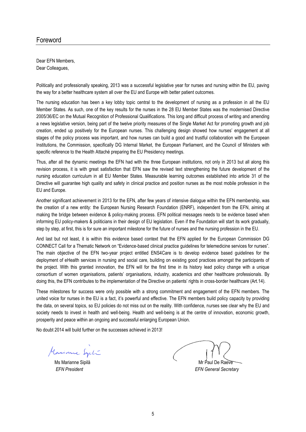#### Foreword

Dear EFN Members, Dear Colleagues,

Politically and professionally speaking, 2013 was a successful legislative year for nurses and nursing within the EU, paving the way for a better healthcare system all over the EU and Europe with better patient outcomes.

The nursing education has been a key lobby topic central to the development of nursing as a profession in all the EU Member States. As such, one of the key results for the nurses in the 28 EU Member States was the modernised Directive 2005/36/EC on the Mutual Recognition of Professional Qualifications. This long and difficult process of writing and amending a news legislative version, being part of the twelve priority measures of the Single Market Act for promoting growth and job creation, ended up positively for the European nurses. This challenging design showed how nurses' engagement at all stages of the policy process was important, and how nurses can build a good and trustful collaboration with the European Institutions, the Commission, specifically DG Internal Market, the European Parliament, and the Council of Ministers with specific reference to the Health Attaché preparing the EU Presidency meetings.

Thus, after all the dynamic meetings the EFN had with the three European institutions, not only in 2013 but all along this revision process, it is with great satisfaction that EFN saw the revised text strengthening the future development of the nursing education curriculum in all EU Member States. Measurable learning outcomes established into article 31 of the Directive will guarantee high quality and safety in clinical practice and position nurses as the most mobile profession in the EU and Europe.

Another significant achievement in 2013 for the EFN, after few years of intensive dialogue within the EFN membership, was the creation of a new entity: the European Nursing Research Foundation (ENRF), independent from the EFN, aiming at making the bridge between evidence & policy-making process. EFN political messages needs to be evidence based when informing EU policy-makers & politicians in their design of EU legislation. Even if the Foundation will start its work gradually, step by step, at first, this is for sure an important milestone for the future of nurses and the nursing profession in the EU.

And last but not least, it is within this evidence based context that the EFN applied for the European Commission DG CONNECT Call for a Thematic Network on "Evidence-based clinical practice guidelines for telemedicine services for nurses". The main objective of the EFN two-year project entitled ENS4Care is to develop evidence based guidelines for the deployment of eHealth services in nursing and social care, building on existing good practices amongst the participants of the project. With this granted innovation, the EFN will for the first time in its history lead policy change with a unique consortium of women organisations, patients' organisations, industry, academics and other healthcare professionals. By doing this, the EFN contributes to the implementation of the Directive on patients' rights in cross-border healthcare (Art.14).

These milestones for success were only possible with a strong commitment and engagement of the EFN members. The united voice for nurses in the EU is a fact, it's powerful and effective. The EFN members build policy capacity by providing the data, on several topics, so EU policies do not miss out on the reality. With confidence, nurses see clear why the EU and society needs to invest in health and well-being. Health and well-being is at the centre of innovation, economic growth, prosperity and peace within an ongoing and successful enlarging European Union.

No doubt 2014 will build further on the successes achieved in 2013!

Marinne Syrt

Ms Marianne Sipilä Marianne Sipilä Mr Paul De Raeve *EFN President EFN General Secretary*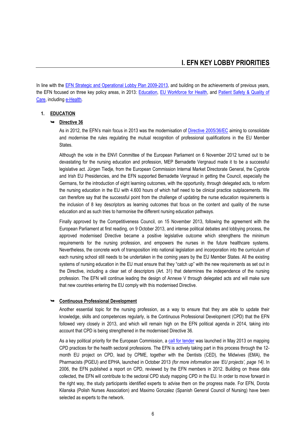In line with the [EFN Strategic and Operational Lobby Plan 2009-2013,](http://www.efnweb.be/wp-content/uploads/2011/11/Updated_EFN_Strategic_and_Operational_LobbyPlan_2009-2013_EN.pdf) and building on the achievements of previous years, the EFN focused on three key policy areas, in 2013: [Education,](http://ec.europa.eu/internal_market/qualifications/policy_developments/legislation_en.htm) [EU Workforce](http://ec.europa.eu/health/workforce/mobility/index_en.htm) for Health, and Patient Safety & Quality of [Care,](http://ec.europa.eu/health-eu/care_for_me/patient_safety/index_en.htm) including [e-Health.](http://ec.europa.eu/health-eu/care_for_me/e-health/index_en.htm)

#### **1. EDUCATION**

#### **Directive 36**

As in 2012, the EFN's main focus in 2013 was the modernisation of [Directive 2005/36/EC](http://ec.europa.eu/internal_market/qualifications/future_en.htm) aiming to consolidate and modernise the rules regulating the mutual recognition of professional qualifications in the EU Member States.

Although the vote in the ENVI Committee of the European Parliament on 6 November 2012 turned out to be devastating for the nursing education and profession, MEP Bernadette Vergnaud made it to be a successful legislative act. Jürgen Tiedje, from the European Commission Internal Market Directorate General, the Cypriote and Irish EU Presidencies, and the EFN supported Bernadette Vergnaud in getting the Council, especially the Germans, for the introduction of eight learning outcomes, with the opportunity, through delegated acts, to reform the nursing education in the EU with 4.600 hours of which half need to be clinical practice outplacements. We can therefore say that the successful point from the challenge of updating the nurse education requirements is the inclusion of 8 key descriptors as learning outcomes that focus on the content and quality of the nurse education and as such tries to harmonise the different nursing education pathways.

Finally approved by the Competitiveness Council, on 15 November 2013, following the agreement with the European Parliament at first reading, on 9 October 2013, and intense political debates and lobbying process, the approved modernised Directive became a positive legislative outcome which strengthens the minimum requirements for the nursing profession, and empowers the nurses in the future healthcare systems. Nevertheless, the concrete work of transposition into national legislation and incorporation into the curriculum of each nursing school still needs to be undertaken in the coming years by the EU Member States. All the existing systems of nursing education in the EU must ensure that they "catch up" with the new requirements as set out in the Directive, including a clear set of descriptors (Art. 31) that determines the independence of the nursing profession. The EFN will continue leading the design of Annexe V through delegated acts and will make sure that new countries entering the EU comply with this modernised Directive.

#### **Continuous Professional Development**

Another essential topic for the nursing profession, as a way to ensure that they are able to update their knowledge, skills and competences regularly, is the Continuous Professional Development (CPD) that the EFN followed very closely in 2013, and which will remain high on the EFN political agenda in 2014, taking into account that CPD is being strengthened in the modernised Directive 36.

As a key political priority for the European Commission, a [call for tender](http://ec.europa.eu/eahc/health/tenders_H07_2013.html) was launched in May 2013 on mapping CPD practices for the health sectoral professions. The EFN is actively taking part in this process through the 12 month EU project on CPD, lead by CPME, together with the Dentists (CED), the Midwives (EMA), the Pharmacists (PGEU) and EPHA, launched in October 2013 *(for more information see 'EU projects', page 14).* In 2006, the EFN published a report on CPD, reviewed by the EFN members in 2012. Building on these data collected, the EFN will contribute to the sectoral CPD study mapping CPD in the EU. In order to move forward in the right way, the study participants identified experts to advise them on the progress made. For EFN, Dorota Kilanska (Polish Nurses Association) and Maximo Gonzalez (Spanish General Council of Nursing) have been selected as experts to the network.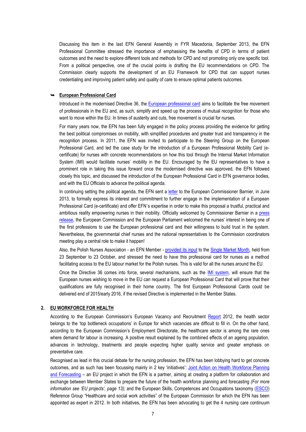Discussing this item in the last EFN General Assembly in FYR Macedonia, September 2013, the EFN Professional Committee stressed the importance of emphasising the benefits of CPD in terms of patient outcomes and the need to explore different tools and methods for CPD and not promoting only one specific tool. From a political perspective, one of the crucial points is drafting the EU recommendations on CPD. The Commission clearly supports the development of an EU Framework for CPD that can support nurses credentialing and improving patient safety and quality of care to ensure optimal patients outcomes.

#### **European Professional Card**

Introduced in the modernised Directive 36, the [European professional card](http://ec.europa.eu/internal_market/qualifications/policy_developments/european_professional_card/index_en.htm) aims to facilitate the free movement of professionals in the EU and, as such, simplify and speed up the process of mutual recognition for those who want to [move](http://ec.europa.eu/internal_market/qualifications/index_en.htm) within the EU. In times of austerity and cuts, free movement is crucial for nurses.

For many years now, the EFN has been fully engaged in the policy process providing the evidence for getting the best political compromises on mobility, with simplified procedures and greater trust and transparency in the recognition process. In 2011, the EFN was invited to participate to the Steering Group on the European Professional Card, and led the case study for the introduction of a European Professional Mobility Card (ecertificate) for nurses with concrete recommendations on how this tool through the Internal Market Information System (IMI) would facilitate nurses' mobility in the EU. Encouraged by the EU representatives to have a prominent role in taking this issue forward once the modernised directive was approved, the EFN followed closely this topic, and discussed the introduction of the European Professional Card in EFN governance bodies, and with the EU Officials to advance the political agenda.

In continuing setting the political agenda, the EFN sent a [letter](http://www.efnweb.be/wp-content/uploads/2013/06/Letter-to-Michel-Barnier-EPC-Nurses-03-06-2013.pdf) to the European Commissioner Barnier, in June 2013, to formally express its interest and commitment to further engage in the implementation of a European Professional Card (e-certificate) and offer EFN´s expertise in order to make this proposal a trustful, practical and ambitious reality empowering nurses in their mobility. Officially welcomed by Commissioner Barnier in a [press](http://europa.eu/rapid/press-release_MEMO-13-552_en.htm)  [release,](http://europa.eu/rapid/press-release_MEMO-13-552_en.htm) the European Commission and the European Parliament welcomed the nurses' interest in being one of the first professions to use the European professional card and their willingness to build trust in the system. Nevertheless, the governmental chief nurses and the national representatives to the Commission coordinators meeting play a central role to make it happen!

Also, the Polish Nurses Association - an EFN Member - [provided its input](http://www.yourideasforeurope.eu/en/ideas/use-professional-mobility-card-nurses-method-facilitating-access-eu-labour-market-polish) to th[e Single Market Month,](http://www.yourideasforeurope.eu/en) held from 23 September to 23 October, and stressed the need to have this professional card for nurses as a method facilitating access to the EU labour market for the Polish nurses. This is valid for all the nurses around the EU.

Once the Directive 36 comes into force, several mechanisms, such as the [IMI system,](http://ec.europa.eu/internal_market/imi-net/index_en.html) will ensure that the European nurses wishing to move in the EU can request a European Professional Card that will prove that their qualifications are fully recognised in their home country. The first European Professional Cards could be delivered end of 2015/early 2016, if the revised Directive is implemented in the Member States.

#### **2. EU WORKFORCE FOR HEALTH**

According to the European Commission's European Vacancy and Recruitment [Report](http://www.efnweb.be/ec.europa.eu/social/BlobServlet?docId=9228&langId=en) 2012, the health sector belongs to the 'top bottleneck occupations' in Europe for which vacancies are difficult to fill in. On the other hand, according to the European Commission's Employment Directorate, the healthcare sector is among the rare ones where demand for labour is increasing. A positive result explained by the combined effects of an ageing population, advances in technology, treatments and people expecting higher quality service and greater emphasis on preventative care.

Recognised as lead in this crucial debate for the nursing profession, the EFN has been lobbying hard to get concrete outcomes, and as such has been focussing mainly in 2 key 'initiatives': [Joint Action on Health Workforce Planning](http://euhwforce.weebly.com/)  [and Forecasting](http://euhwforce.weebly.com/) – an EU project in which the EFN is a partner, aiming at creating a platform for collaboration and exchange between Member States to prepare the future of the health workforce planning and forecasting *(For more information see 'EU projects', page 13);* and the European Skills, Competences and Occupations taxonomy [\(ESCO\)](http://ec.europa.eu/social/main.jsp?langId=en&catId=89&newsId=852) Reference Group "Healthcare and social work activities" of the European Commission for which the EFN has been appointed as expert in 2012. In both initiatives, the EFN has been advocating to get the 4 nursing care continuum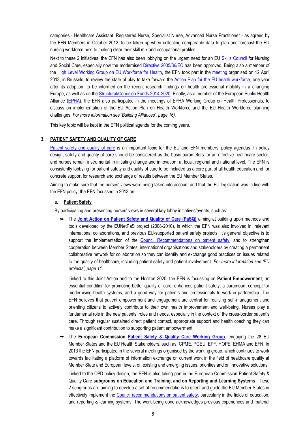categories - Healthcare Assistant, Registered Nurse, Specialist Nurse, Advanced Nurse Practitioner - as agreed by the EFN Members in October 2012, to be taken up when collecting comparable data to plan and forecast the EU nursing workforce next to making clear their skill mix and occupational profiles.

Next to these 2 initiatives, the EFN has also been lobbying on the urgent need for an EU [Skills Council](http://www.efnweb.be/wp-content/uploads/2013/09/EFN-Position-Statement-on-the-development-of-a-European-Skill-Council-Final102012.pdf) for Nursing and Social Care, especially now the modernised [Directive 2005/36/EC](http://ec.europa.eu/internal_market/qualifications/policy_developments/legislation/index_en.htm) has been approved. Being also a member of the [High Level Working Group on EU Workforce for Health,](http://ec.europa.eu/health/workforce/policy/index_en.htm) the EFN took part in the [meeting](http://ec.europa.eu/health/workforce/events/ev_20130412_en.htm) organised on 12 April 2013, in Brussels, to review the state of play to take forward the [Action Plan for the EU health workforce,](http://ec.europa.eu/dgs/health_consumer/dyna/enews/enews.cfm?al_id=1247) one vear after its adoption, to be informed on the recent research findings on health professional mobility in a changing Europe, as well as on the [Structural/Cohesion Funds 2014-2020.](http://ec.europa.eu/regional_policy/what/future/index_en.cfm) Finally, as a member of the European Public Health Alliance [\(EPHA\)](http://www.epha.org/), the EFN also participated in the meetings of EPHA Working Group on Health Professionals, to discuss on implementation of the EU Action Plan on Health Workforce and the EU Health Workforce planning challenges. *For more information see 'Building Alliances', page 16).*

This key topic will be kept in the EFN political agenda for the coming years.

#### **3. PATIENT SAFETY AND QUALITY OF CARE**

[Patient safety and quality of care](http://ec.europa.eu/health-eu/care_for_me/patient_safety/index_en.htm) is an important topic for the EU and EFN members' policy agendas. In policy design, safety and quality of care should be considered as the basic parameters for an effective healthcare sector, and nurses remain instrumental in initiating change and innovation, at local, regional and national level. The EFN is consistently lobbying for patient safety and quality of care to be included as a core part of all health education and for concrete support for research and exchange of results between the EU Member States.

Aiming to make sure that the nurses' views were being taken into account and that the EU legislation was in line with the EFN policy, the EFN focussed in 2013 on:

#### **a. Patient Safety**

By participating and presenting nurses' views in several key lobby initiatives/events, such as:

 The **[Joint Action on Patient Safety and Quality of Care \(PaSQ\)](http://pasq.eu/)** aiming at building upon methods and tools developed by the EUNetPaS project (2008-2010), in which the EFN was also involved in, relevant international collaborations, and previous EU-supported patient safety projects. It's general objective is to support the implementation of the [Council Recommendations on patient safety,](http://www.consilium.europa.eu/uedocs/cms_Data/docs/pressdata/en/lsa/108381.pdf) and to strengthen cooperation between Member States, international organisations and stakeholders by creating a permanent collaborative network for collaboration so they can identify and exchange good practices on issues related to the quality of healthcare, including patient safety and patient involvement. *For more information see 'EU projects', page 11.*

Linked to this Joint Action and to the Horizon 2020, the EFN is focussing on **Patient Empowerment**, an essential condition for promoting better quality of care, enhanced patient safety, a paramount concept for modernising health systems, and a good way for patients and professionals to work in partnership. The EFN believes that patient empowerment and engagement are central for realising self-management and orienting citizens to actively contribute to their own health improvement and well-being. Nurses play a fundamental role in the new patients' roles and needs, especially in the context of the cross-border patient's care. Through regular sustained direct patient contact, appropriate support and health coaching they can make a significant contribution to supporting patient empowerment.

 The **European Commission [Patient Safety & Quality Care Working Group](http://ec.europa.eu/health/patient_safety/events/ev_20130308_en.htm)**, engaging the 28 EU Member States and the EU Health Stakeholders, such as: CPME, PGEU, EPF, HOPE, EHMA and EFN. In 2013 the EFN participated in the several meetings organised by the working group, which continues to work towards facilitating a platform of information exchange on current work in the field of healthcare quality at Member State and European levels, on existing and emerging issues, priorities and on innovative solutions.

Linked to the CPD policy design, the EFN is also taking part in the European Commission Patient Safety & Quality Care **subgroups on Education and Training, and on Reporting and Learning Systems**. These 2 subgroups are aiming to develop a set of recommendations to orient and guide the EU Member States in effectively implement the [Council recommendations on patient safety,](http://ec.europa.eu/health/patient_safety/docs/council_2009_en.pdf) particularly in the fields of education, and reporting & learning systems. The work being done acknowledges previous experiences and material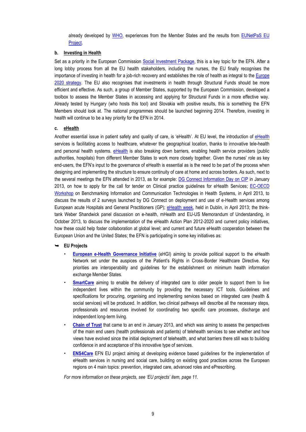already developed by [WHO,](http://ec.europa.eu/health/patient_safety/docs/ev_20130308_co02_en.pdf) experiences from the Member States and the results from EUNetPaS EU [Project.](http://www.eunetpas.eu/)

#### **b. Investing in Health**

Set as a priority in the European Commission Social [Investment Package,](http://ec.europa.eu/health/strategy/policy/index_en.htm) this is a key topic for the EFN. After a long lobby process from all the EU health stakeholders, including the nurses, the EU finally recognises the importance of investing in health for a job-rich recovery and establishes the role of health as integral to the [Europe](http://ec.europa.eu/europe2020/index_en.htm)  [2020 strategy.](http://ec.europa.eu/europe2020/index_en.htm) The EU also recognises that investments in health through Structural Funds should be more efficient and effective. As such, a group of Member States, supported by the European Commission, developed a toolbox to assess the Member States in accessing and applying for Structural Funds in a more effective way. Already tested by Hungary (who hosts this tool) and Slovakia with positive results, this is something the EFN Members should look at. The national programmes should be launched beginning 2014. Therefore, investing in health will continue to be a key priority for the EFN in 2014.

#### **c. eHealth**

Another essential issue in patient safety and quality of care, is 'eHealth'. At EU level, the introduction of [eHealth](http://ec.europa.eu/health-eu/care_for_me/e-health/index_en.htm) services is facilitating access to healthcare, whatever the geographical location, thanks to innovative tele-health and personal health systems. [eHealth](http://ec.europa.eu/health-eu/care_for_me/e-health/index_en.htm) is also breaking down barriers, enabling health service providers (public authorities, hospitals) from different Member States to work more closely together. Given the nurses' role as key end-users, the EFN's input to the governance of eHealth is essential as is the need to be part of the process when designing and implementing the structure to ensure continuity of care at home and across borders. As such, next to the several meetings the EFN attended in 2013, as for example: [DG Connect Information Day on CIP](https://ec.europa.eu/digital-agenda/sites/digital-agenda/files/funding_instruments.pdf) in January 2013, on how to apply for the call for tender on Clinical practice guidelines for eHealth Services; EC-OECD [Workshop](http://www.himsa-info.eu/00him/events/call-for-nominations-ec-oecd-workshop-benchmarking-information-and-communication-technologies-in-health-systems/) on Benchmarking Information and Communication Technologies in Health Systems, in April 2013, to discuss the results of 2 surveys launched by DG Connect on deployment and use of e-Health services among European acute Hospitals and General Practitioners (GP); [eHealth week,](http://www.ehealthweek.org/) held in Dublin, in April 2013; the thinktank Weber Shandwick panel discussion on e-health, mHealth and EU-US Memorandum of Understanding, in October 2013, to discuss the implementation of the eHealth Action Plan 2012-2020 and current policy initiatives, how these could help foster collaboration at global level; and current and future eHealth cooperation between the European Union and the United States; the EFN is participating in some key initiatives as:

#### **EU Projects**

- **European e-Health [Governance Initiative](http://ec.europa.eu/information_society/activities/health/policy/ehealth_governance_initiative/index_en.htm)** (eHGI) aiming to provide political support to the eHealth Network set under the auspices of the Patient's Rights in Cross-Border Healthcare Directive. Key priorities are interoperability and guidelines for the establishment on minimum health information exchange Member States.
- **[SmartCare](http://pilotsmartcare.eu/home/)** aiming to enable the delivery of integrated care to older people to support them to live independent lives within the community by providing the necessary ICT tools. Guidelines and specifications for procuring, organising and implementing services based on integrated care (health & social services) will be produced. In addition, two clinical pathways will describe all the necessary steps, professionals and resources involved for coordinating two specific care processes, discharge and independent long-term living.
- **[Chain of Trust](http://www.chainoftrust.eu/)** that came to an end in January 2013, and which was aiming to assess the perspectives of the main end users (health professionals and patients) of telehealth services to see whether and how views have evolved since the initial deployment of telehealth, and what barriers there still was to building confidence in and acceptance of this innovative type of services.
- **[ENS4Care](http://www.ens4care.eu/)** EFN EU project aiming at developing evidence based guidelines for the implementation of eHealth services in nursing and social care, building on existing good practices across the European regions on 4 main topics: prevention, integrated care, advanced roles and ePrescribing.

*For more information on these projects, see 'EU projects' item, page 11.*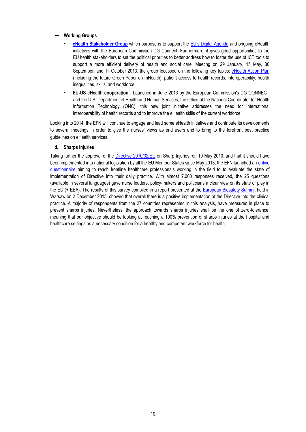#### **Working Groups**

- **[eHealth Stakeholder Group](http://ec.europa.eu/digital-agenda/en/digital-life/health)** which purpose is to support the [EU's Digital Agenda](http://ec.europa.eu/digital-agenda/) and ongoing eHealth initiatives with the European Commission DG Connect. Furthermore, it gives good opportunities to the EU health stakeholders to set the political priorities to better address how to foster the use of ICT tools to support a more efficient delivery of health and social care. Meeting on 29 January, 15 May, 30 September, and 1<sup>st</sup> October 2013, the group focussed on the following key topics: [eHealth Action Plan](http://europa.eu/rapid/press-release_MEMO-12-959_en.htm?locale=EN) (including the future Green Paper on mHealth), patient access to health records, interoperability, health inequalities, skills, and workforce.
- **EU-US eHealth cooperation** Launched in June 2013 by the European Commission's DG CONNECT and the U.S. Department of Health and Human Services, the Office of the National Coordinator for Health Information Technology (ONC), this new joint initiative addresses the need for international interoperability of health records and to improve the eHealth skills of the current workforce.

Looking into 2014, the EFN will continue to engage and lead some eHealth initiatives and contribute its developments to several meetings in order to give the nurses' views as end users and to bring to the forefront best practice guidelines on eHealth services.

#### **d. Sharps Injuries**

Taking further the approval of the [Directive 2010/32/EU](https://osha.europa.eu/en/legislation/directives/sector-specific-and-worker-related-provisions/osh-directives/council-directive-2010-32-eu-prevention-from-sharp-injuries-in-the-hospital-and-healthcare-sector) on Sharp Injuries, on 10 May 2010, and that it should have been implemented into national legislation by all the EU Member States since May 2013, the EFN launched an [online](http://www.efnweb.be/?p=4697)  [questionnaire](http://www.efnweb.be/?p=4697) aiming to reach frontline healthcare professionals working in the field to to evaluate the state of implementation of Directive into their daily practice. With almost 7.000 responses received, the 25 questions (available in several languages) gave nurse leaders, policy-makers and politicians a clear view on its state of play in the EU (+ EEA). The results of this survey compiled in a report presented at th[e European Biosafety Summit](http://www.europeanbiosafetynetwork.eu/) held in Warsaw on 2 December 2013, showed that overall there is a positive implementation of the Directive into the clinical practice. A majority of respondents from the 27 countries represented in this analysis, have measures in place to prevent sharps injuries. Nevertheless, the approach towards sharps injuries shall be the one of zero-tolerance, meaning that our objective should be looking at reaching a 100% prevention of sharps injuries at the hospital and healthcare settings as a necessary condition for a healthy and competent workforce for health.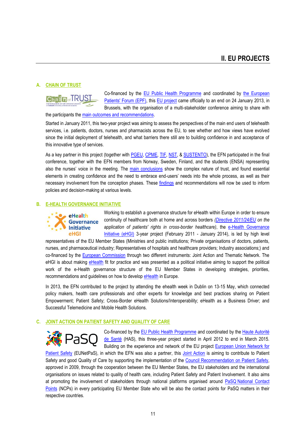#### **A. CHAIN OF TRUST**



Co-financed by the [EU Public Health Programme](http://ec.europa.eu/health/programme/policy/2008-2013/index_en.htm) and coordinated by [the European](http://www.eu-patient.eu/)  [Patients' Forum \(EPF\),](http://www.eu-patient.eu/) this [EU project](http://www.chainoftrust.eu/) came officially to an end on 24 January 2013, in Brussels, with the organisation of a multi-stakeholder conference aiming to share with

the participants the [main outcomes and recommendations.](http://www.eu-patient.eu/Documents/Projects/ChainOfTrust/EPF-report-web.pdf) 

Started in January 2011, this two-year project was aiming to assess the perspectives of the main end users of telehealth services, i.e. patients, doctors, nurses and pharmacists across the EU, to see whether and how views have evolved since the initial deployment of telehealth, and what barriers there still are to building confidence in and acceptance of this innovative type of services.

As a key partner in this project (together wit[h PGEU,](http://www.pgeu.eu/) [CPME,](http://www.cpme.eu/) [TIF,](http://www.thalassaemia.org.cy/) [NST,](http://www.telemed.no/index.php?language=en) & [SUSTENTO\)](http://www.sustento.lv/?lang=en), the EFN participated in the final conference, together with the EFN members from Norway, Sweden, Finland, and the students (ENSA) representing also the nurses' voice in the meeting. The [main conclusions](http://www.eu-patient.eu/Documents/Projects/ChainOfTrust/EPF-report-web.pdf) show the complex nature of trust, and found essential elements in creating confidence and the need to embrace end-users' needs into the whole process, as well as their necessary involvement from the conception phases. These [findings](http://www.chainoftrust.eu/findings) and recommendations will now be used to inform policies and decision-making at various levels.

#### **B. E-HEALTH GOVERNANCE INITIATIVE**



Working to establish a governance structure for eHealth within Europe in order to ensure continuity of healthcare both at home and across borders *[\(Directive 2011/24/EU](http://ec.europa.eu/health/cross_border_care/policy/index_en.htm) on the application of patients' rights in cross-border healthcare)*, the [e-Health Governance](http://www.ehgi.eu/)  [Initiative \(eHGI\)](http://www.ehgi.eu/) 3-year project (February 2011 - January 2014), is led by high level

representatives of the EU Member States (Ministries and public institutions; Private organisations of doctors, patients, nurses, and pharmaceutical industry; Representatives of hospitals and healthcare providers; Industry associations;) and co-financed by the **European Commission** through two different instruments: Joint Action and Thematic Network. The eHGI is about making [eHealth](http://ec.europa.eu/health-eu/care_for_me/e-health/index_en.htm) fit for practice and was presented as a political initiative aiming to support the political work of the e-Health governance structure of the EU Member States in developing strategies, priorities, recommendations and guidelines on how to develop [eHealth](http://ec.europa.eu/health-eu/care_for_me/e-health/index_en.htm) in Europe.

In 2013, the EFN contributed to the project by attending the ehealth week in Dublin on 13-15 May, which connected policy makers, health care professionals and other experts for knowledge and best practices sharing on Patient Empowerment; Patient Safety; Cross-Border eHealth Solutions/Interoperability; eHealth as a Business Driver; and Successful Telemedicine and Mobile Health Solutions.

#### **C. JOINT ACTION ON PATIENT SAFETY AND QUALITY OF CARE**



Co-financed by the [EU Public Health Programme](http://ec.europa.eu/health/programme/policy/2008-2013/index_en.htm) and coordinated by the Haute Autorité [de Santé](http://www.has-sante.fr/) (HAS), this three-year project started in April 2012 to end in March 2015. Building on the experience and network of the EU project **European Union Network for** 

[Patient Safety](http://www.eunetpas.eu/) (EUNetPaS), in which the EFN was also a partner, this [Joint Action](http://www.pasq.eu/) is aiming to contribute to Patient Safety and good Quality of Care by supporting the implementation of the [Council Recommendation on Patient Safety,](http://ec.europa.eu/health/patient_safety/docs/council_2009_en.pdf) approved in 2009, through the cooperation between the EU Member States, the EU stakeholders and the international organisations on issues related to quality of health care, including Patient Safety and Patient Involvement. It also aims at promoting the involvement of stakeholders through national platforms organised around PaSQ [National Contact](http://www.pasq.eu/Contact/NCP.aspx)  [Points](http://www.pasq.eu/Contact/NCP.aspx) (NCPs) in every participating EU Member State who will be also the contact points for PaSQ matters in their respective countries.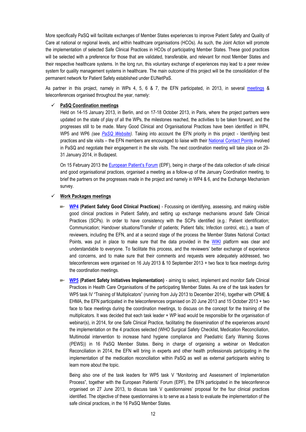More specifically PaSQ will facilitate exchanges of Member States experiences to improve Patient Safety and Quality of Care at national or regional levels, and within healthcare organisations (HCOs). As such, the Joint Action will promote the implementation of selected Safe Clinical Practices in HCOs of participating Member States. These good practices will be selected with a preference for those that are validated, transferable, and relevant for most Member States and their respective healthcare systems. In the long run, this voluntary exchange of experiences may lead to a peer review system for quality management systems in healthcare. The main outcome of this project will be the consolidation of the permanent network for Patient Safety established under EUNetPaS.

As partner in this project, namely in WPs 4, 5, 6 & 7, the EFN participated, in 2013, in several [meetings](http://www.pasq.eu/Events/EventsChronologically/Events2013.aspx) & teleconferences organised throughout the year, namely:

#### **PaSQ Coordination meetings**

Held on 14-15 January 2013, in Berlin, and on 17-18 October 2013, in Paris, where the project partners were updated on the state of play of all the WPs, the milestones reached, the activities to be taken forward, and the progresses still to be made. Many Good Clinical and Organisational Practices have been identified in WP4, WP5 and WP6 *(see [PaSQ Website\)](http://www.pasq.eu/)*. Taking into account the EFN priority in this project - Identifying best practices and site visits – the EFN members are encouraged to liaise with their [National Contact Points](http://www.pasq.eu/Partners/PaSQPartners/MemberStates.aspx) involved in PaSQ and negotiate their engagement in the site visits. The next coordination meeting will take place on 29- 31 January 2014, in Budapest.

On 15 February 2013 the [European Patient's Forum](http://www.eu-patient.eu/) (EPF), being in charge of the data collection of safe clinical and good organisational practices, organised a meeting as a follow-up of the January Coordination meeting, to brief the partners on the progresses made in the project and namely in WP4 & 6, and the Exchange Mechanism survey.

#### **Work Packages meetings**

- **[WP4](http://www.pasq.eu/Project/WorkPackages/WP4.aspx) (Patient Safety Good Clinical Practices)** Focussing on identifying, assessing, and making visible good clinical practices in Patient Safety, and setting up exchange mechanisms around Safe Clinical Practices (SCPs). In order to have consistency with the SCPs identified (e.g.: Patient identification; Communication; Handover situations/Transfer of patients; Patient falls; Infection control, etc.), a team of reviewers, including the EFN, and at a second stage of the process the Member States National Contact Points, was put in place to make sure that the data provided in the [WIKI](http://www.pasq.eu/Wiki/PSandQCgoodpractices/PSPDisplay.aspx) platform was clear and understandable to everyone. To facilitate this process, and the reviewers' better exchange of experience and concerns, and to make sure that their comments and requests were adequately addressed, two teleconferences were organised on 16 July 2013 & 10 September 2013 + two face to face meetings during the coordination meetings.
- **[WP5](http://www.pasq.eu/Project/WorkPackages/WP5.aspx) (Patient Safety Initiatives Implementation)**  aiming to select, implement and monitor Safe Clinical Practices in Health Care Organisations of the participating Member States. As one of the task leaders for WP5 task IV "Training of Multiplicators" (running from July 2013 to December 2014), together with CPME & EHMA, the EFN participated in the teleconferences organised on 20 June 2013 and 15 October 2013 + two face to face meetings during the coordination meetings, to discuss on the concept for the training of the multiplicators. It was decided that each task leader + WP lead would be responsible for the organisation of webinar(s), in 2014, for one Safe Clinical Practice, facilitating the dissemination of the experiences around the implementation on the 4 practices selected (WHO Surgical Safety Checklist, Medication Reconciliation, Multimodal intervention to increase hand hygiene compliance and Paediatric Early Warning Scores (PEWS)) in 16 PaSQ Member States. Being in charge of organising a webinar on Medication Reconciliation in 2014, the EFN will bring in experts and other health professionals participating in the implementation of the medication reconciliation within PaSQ as well as external participants wishing to learn more about the topic.

Being also one of the task leaders for WP5 task V "Monitoring and Assessment of Implementation Process", together with the European Patients' Forum (EPF), the EFN participated in the teleconference organised on 27 June 2013, to discuss task V questionnaires' proposal for the four clinical practices identified. The objective of these questionnaires is to serve as a basis to evaluate the implementation of the safe clinical practices, in the 16 PaSQ Member States.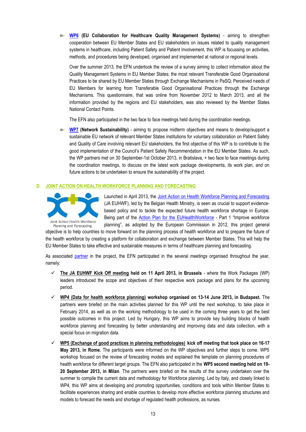**[WP6](http://www.pasq.eu/Project/WorkPackages/WP6.aspx) (EU Collaboration for Healthcare Quality Management Systems)** - aiming to strengthen cooperation between EU Member States and EU stakeholders on issues related to quality management systems in healthcare, including Patient Safety and Patient Involvement, this WP is focussing on activities, methods, and procedures being developed, organised and implemented at national or regional levels.

Over the summer 2013, the EFN undertook the review of a survey aiming to collect information about the Quality Management Systems in EU Member States; the most relevant Transferable Good Organisational Practices to be shared by EU Member States through Exchange Mechanisms in PaSQ; Perceived needs of EU Members for learning from Transferable Good Organisational Practices through the Exchange Mechanisms. This questionnaire, that was online from November 2012 to March 2013, and all the information provided by the regions and EU stakeholders, was also reviewed by the Member States National Contact Points.

The EFN also participated in the two face to face meetings held during the coordination meetings.

**[WP7](http://www.pasq.eu/Project/WorkPackages/WP7.aspx) (Network Sustainability)** - aiming to propose midterm objectives and means to develop/support a sustainable EU network of relevant Member States institutions for voluntary collaboration on Patient Safety and Quality of Care involving relevant EU stakeholders, the first objective of this WP is to contribute to the good implementation of the Council's Patient Safety Recommendation in the EU Member States. As such, the WP partners met on 30 September-1st October 2013, in Bratislava, + two face to face meetings during the coordination meetings, to discuss on the latest work package developments, its work plan, and on future actions to be undertaken to ensure the sustainability of the project.

#### **D. JOINT ACTION ON HEALTH WORKFORCE PLANNING AND FORECASTING**



Launched in April 2013, the [Joint Action on Health Workforce Planning and Forecasting](http://euhwforce.eu/) (JA EUHWF), led by the Belgian Health Ministry, is seen as crucial to support evidencebased policy and to tackle the expected future health workforce shortage in Europe. Being part of the [Action Plan for the EUHealthWorkforce](http://ec.europa.eu/health/workforce/policy/index_en.htm) - Part 1 "Improve workforce planning", as adopted by the European Commission in 2012, this project general

objective is to help countries to move forward on the planning process of health workforce and to prepare the future of the health workforce by creating a platform for collaboration and exchange between Member States. This will help the EU Member States to take effective and sustainable measures in terms of healthcare planning and forecasting.

As associated [partner](http://www.efnweb.be/?page_id=3058) in the project, the EFN participated in the several meetings organised throughout the year, namely:

- **The JA EUHWF Kick Off meeting held on 11 April 2013, in Brussels** where the Work Packages (WP) leaders introduced the scope and objectives of their respective work package and plans for the upcoming period.
- **WP4 (Data for health workforce planning) workshop organised on 13-14 June 2013, in Budapest.** The partners were briefed on the main activities planned for this WP until the next workshop, to take place in February 2014, as well as on the working methodology to be used in the coming three years to get the best possible outcomes in this project. Led by Hungary, this WP aims to provide key building blocks of health workforce planning and forecasting by better understanding and improving data and data collection, with a special focus on migration data.
- **WP5 (Exchange of good practices in planning methodologies) kick off meeting that took place on 16-17 May 2013, in Rome.** The participants were informed on the WP objectives and further steps to come. WP5 workshop focused on the review of forecasting models and explained the template on planning procedures of health workforce for different target groups. The EFN also participated in the **WP5 second meeting held on 19- 20 September 2013, in Milan**. The partners were briefed on the results of the survey undertaken over the summer to compile the current data and methodology for Workforce planning. Led by Italy, and closely linked to WP4, this WP aims at developing and promoting opportunities, conditions and tools within Member States to facilitate experiences sharing and enable countries to develop more effective workforce planning structures and models to forecast the needs and shortage of regulated health professions, as nurses.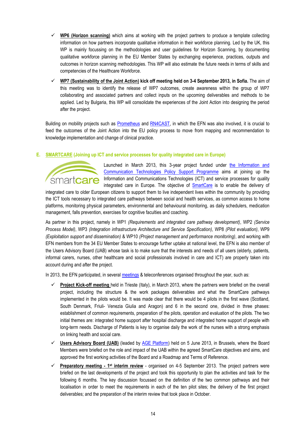- $\checkmark$  WP6 (Horizon scanning) which aims at working with the project partners to produce a template collecting information on how partners incorporate qualitative information in their workforce planning. Led by the UK, this WP is mainly focussing on the methodologies and user guidelines for Horizon Scanning, by documenting qualitative workforce planning in the EU Member States by exchanging experience, practices, outputs and outcomes in horizon scanning methodologies. This WP will also estimate the future needs in terms of skills and competencies of the Healthcare Workforce.
- **WP7 (Sustainability of the Joint Action) kick off meeting held on 3-4 September 2013, in Sofia.** The aim of this meeting was to identify the release of WP7 outcomes, create awareness within the group of WP7 collaborating and associated partners and collect inputs on the upcoming deliverables and methods to be applied. Led by Bulgaria, this WP will consolidate the experiences of the Joint Action into designing the period after the project.

Building on mobility projects such as [Prometheus](http://www.euro.who.int/en/who-we-are/partners/observatory/activities/research-studies-and-projects/prometheus) and [RN4CAST,](http://www.rn4cast.eu/en/index.php) in which the EFN was also involved, it is crucial to feed the outcomes of the Joint Action into the EU policy process to move from mapping and recommendation to knowledge implementation and change of clinical practice.

#### **E. SMARTCARE (Joining up ICT and service processes for quality integrated care in Europe)**



Launched in March 2013, this 3-year project funded under the Information and [Communication Technologies Policy Support Programme](http://ec.europa.eu/ict_psp) aims at joining up the Information and Communications Technologies (ICT) and service processes for quality integrated care in Europe. The objective of [SmartCare](http://pilotsmartcare.eu/home/) is to enable the delivery of

integrated care to older European citizens to support them to live independent lives within the community by providing the ICT tools necessary to integrated care pathways between social and health services, as common access to home platforms, monitoring physical parameters, environmental and behavioural monitoring, as daily schedulers, medication management, falls prevention, exercises for cognitive faculties and coaching.

As partner in this project, namely in WP1 *(Requirements and integrated care pathway development)*, WP2 *(Service Process Model)*, WP3 *(Integration infrastructure Architecture and Service Specification)*, WP8 *(Pilot evaluation)*, WP9 *(Exploitation support and dissemination)* & WP10 *(Project management and performance monitoring)*, and working with EFN members from the 34 EU Member States to encourage further uptake at national level, the EFN is also member of the Users Advisory Board (UAB) whose task is to make sure that the interests and needs of all users (elderly, patients, informal carers, nurses, other healthcare and social professionals involved in care and ICT) are properly taken into account during and after the project.

In 2013, the EFN participated, in several [meetings](http://www.pasq.eu/Events/EventsChronologically/Events2013.aspx) & teleconferences organised throughout the year, such as:

- **Project Kick-off meeting** held in Trieste (Italy), in March 2013, where the partners were briefed on the overall project, including the structure & the work packages deliverables and what the SmartCare pathways implemented in the pilots would be. It was made clear that there would be 4 pilots in the first wave (Scotland, South Denmark, Friuli- Venezia Giulia and Aragon) and 6 in the second one, divided in three phases: establishment of common requirements, preparation of the pilots, operation and evaluation of the pilots. The two initial themes are: integrated home support after hospital discharge and integrated home support of people with long-term needs. Discharge of Patients is key to organise daily the work of the nurses with a strong emphasis on linking health and social care.
- **Users Advisory Board (UAB)** (leaded by [AGE Platform\)](http://www.age-platform.eu/) held on 5 June 2013, in Brussels, where the Board Members were briefed on the role and impact of the UAB within the agreed SmartCare objectives and aims, and approved the first working activities of the Board and a Roadmap and Terms of Reference.
- $\checkmark$  Preparatory meeting  $\cdot$  1<sup>st</sup> interim review  $\cdot$  organised on 4-5 September 2013. The project partners were briefed on the last developments of the project and took this opportunity to plan the activities and task for the following 6 months. The key discussion focussed on the definition of the two common pathways and their localisation in order to meet the requirements in each of the ten pilot sites; the delivery of the first project deliverables; and the preparation of the interim review that took place in October.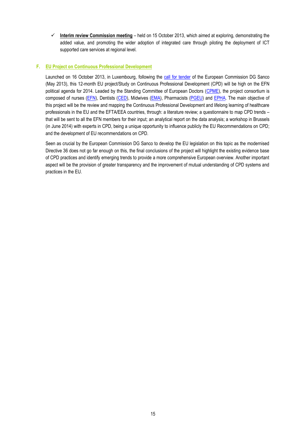**Interim review Commission meeting** – held on 15 October 2013, which aimed at exploring, demonstrating the added value, and promoting the wider adoption of integrated care through piloting the deployment of ICT supported care services at regional level.

#### **F. EU Project on Continuous Professional Development**

Launched on 16 October 2013, in Luxembourg, following the [call for tender](http://ec.europa.eu/eahc/health/tenders_H07_2013.html) of the European Commission DG Sanco (May 2013), this 12-month EU project/Study on Continuous Professional Development (CPD) will be high on the EFN political agenda for 2014. Leaded by the Standing Committee of European Doctors [\(CPME\)](http://www.cpme.eu/), the project consortium is composed of nurses [\(EFN\)](http://www.efnweb.be/), Dentists [\(CED\)](http://www.eudental.eu/), Midwives [\(EMA\)](http://www.europeanmidwives.org/), Pharmacists [\(PGEU\)](http://www.pgeu.eu/) and [EPHA.](http://www.epha.org/) The main objective of this project will be the review and mapping the Continuous Professional Development and lifelong learning of healthcare professionals in the EU and the EFTA/EEA countries, through: a literature review; a questionnaire to map CPD trends – that will be sent to all the EFN members for their input; an analytical report on the data analysis; a workshop in Brussels (in June 2014) with experts in CPD, being a unique opportunity to influence publicly the EU Recommendations on CPD; and the development of EU recommendations on CPD.

Seen as crucial by the European Commission DG Sanco to develop the EU legislation on this topic as the modernised Directive 36 does not go far enough on this, the final conclusions of the project will highlight the existing evidence base of CPD practices and identify emerging trends to provide a more comprehensive European overview. Another important aspect will be the provision of greater transparency and the improvement of mutual understanding of CPD systems and practices in the EU.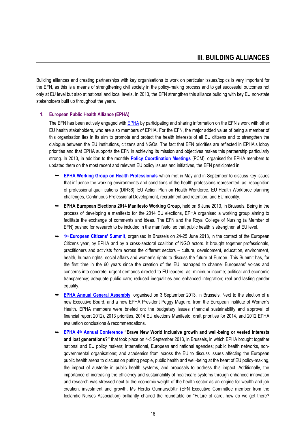Building alliances and creating partnerships with key organisations to work on particular issues/topics is very important for the EFN, as this is a means of strengthening civil society in the policy-making process and to get successful outcomes not only at EU level but also at national and local levels. In 2013, the EFN strengthen this alliance building with key EU non-state stakeholders built up throughout the years.

#### **1. European Public Health Alliance (EPHA)**

The EFN has been actively engaged with [EPHA](http://www.epha.org/) by participating and sharing information on the EFN's work with other EU health stakeholders, who are also members of EPHA. For the EFN, the major added value of being a member of this organisation lies in its aim to promote and protect the health interests of all EU citizens and to strengthen the dialogue between the EU institutions, citizens and NGOs. The fact that EFN priorities are reflected in EPHA's lobby priorities and that EPHA supports the EFN in achieving its mission and objectives makes this partnership particularly strong. In 2013, in addition to the monthly **[Policy Coordination Meetings](http://www.epha.org/spip.php?article5546)** (PCM), organised for EPHA members to updated them on the most recent and relevant EU policy issues and initiatives, the EFN participated in:

- **[EPHA Working Group on Health Professionals](http://www.epha.org/a/5220)** which met in May and in September to discuss key issues that influence the working environments and conditions of the health professions represented, as: recognition of professional qualifications (DIR36), EU Action Plan on Health Workforce, EU Health Workforce planning challenges, Continuous Professional Development, recruitment and retention, and EU mobility.
- **EPHA European Elections 2014 Manifesto Working Group,** held on 6 June 2013, in Brussels. Being in the process of developing a manifesto for the 2014 EU elections, EPHA organised a working group aiming to facilitate the exchange of comments and ideas. The EFN and the Royal College of Nursing (a Member of EFN) pushed for research to be included in the manifesto, so that public health is strengthen at EU level.
- **→ 1<sup>st</sup> [European Citizens' Summit](http://www.epha.org/a/5771)**, organised in Brussels on 24-25 June 2013, in the context of the European Citizens year, by EPHA and by a cross-sectoral coalition of NGO actors. It brought together professionals, practitioners and activists from across the different sectors – culture, development, education, environment, health, human rights, social affairs and women's rights to discuss the future of Europe. This Summit has, for the first time in the 60 years since the creation of the EU, managed to channel Europeans' voices and concerns into concrete, urgent demands directed to EU leaders, as: minimum income; political and economic transparency; adequate public care; reduced inequalities and enhanced integration; real and lasting gender equality.
- **[EPHA Annual General Assembly](http://www.epha.org/spip.php?article5861)**, organised on 3 September 2013, in Brussels. Next to the election of a new Executive Board, and a new EPHA President Peggy Maguire, from the European Institute of Women's Health. EPHA members were briefed on: the budgetary issues (financial sustainability and approval of financial report 2012), 2013 priorities, 2014 EU elections Manifesto, draft priorities for 2014, and 2012 EPHA evaluation conclusions & recommendations.
- **EPHA 4th [Annual Conference](http://epha.org/5718) "Brave New World Inclusive growth and well-being or vested interests and lost generations?"** that took place on 4-5 September 2013, in Brussels, in which EPHA brought together national and EU policy makers; international, European and national agencies; public health networks, nongovernmental organisations; and academics from across the EU to discuss issues affecting the European public health arena to discuss on putting people, public health and well-being at the heart of EU policy-making, the impact of austerity in public health systems, and proposals to address this impact. Additionally, the importance of increasing the efficiency and sustainability of healthcare systems through enhanced innovation and research was stressed next to the economic weight of the health sector as an engine for wealth and job creation, investment and growth. Ms Herdis Gunnarsdóttir (EFN Executive Committee member from the Icelandic Nurses Association) brilliantly chaired the roundtable on "Future of care, how do we get there?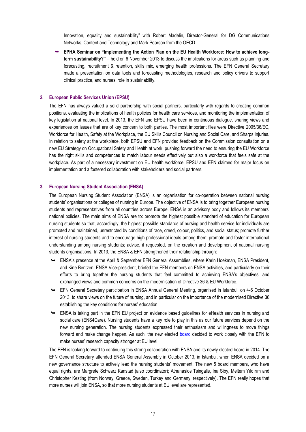Innovation, equality and sustainability" with Robert Madelin, Director-General for DG Communications Networks, Content and Technology and Mark Pearson from the OECD.

 **EPHA Seminar on "Implementing the Action Plan on the EU Health Workforce: How to achieve longterm sustainability?"** – held on 6 November 2013 to discuss the implications for areas such as planning and forecasting, recruitment & retention, skills mix, emerging health professions. The EFN General Secretary made a presentation on data tools and forecasting methodologies, research and policy drivers to support clinical practice, and nurses' role in sustainability.

#### **2. European Public Services Union (EPSU)**

The EFN has always valued a solid partnership with social partners, particularly with regards to creating common positions, evaluating the implications of health policies for health care services, and monitoring the implementation of key legislation at national level. In 2013, the EFN and EPSU have been in continuous dialogue, sharing views and experiences on issues that are of key concern to both parties. The most important files were Directive 2005/36/EC, Workforce for Health, Safety at the Workplace, the EU Skills Council on Nursing and Social Care, and Sharps Injuries. In relation to safety at the workplace, both EPSU and EFN provided feedback on the Commission consultation on a new EU Strategy on Occupational Safety and Health at work, pushing forward the need to ensuring the EU Workforce has the right skills and competences to match labour needs effectively but also a workforce that feels safe at the workplace. As part of a necessary investment on EU health workforce, EPSU and EFN claimed for major focus on implementation and a fostered collaboration with stakeholders and social partners.

#### **3. European Nursing Student Association (ENSA)**

The European Nursing Student Association (ENSA) is an organisation for co-operation between national nursing students' organisations or colleges of nursing in Europe. The objective of ENSA is to bring together European nursing students and representatives from all countries across Europe. ENSA is an advisory body and follows its members' national policies. The main aims of ENSA are to: promote the highest possible standard of education for European nursing students so that, accordingly, the highest possible standards of nursing and health service for individuals are promoted and maintained, unrestricted by conditions of race, creed, colour, politics, and social status; promote further interest of nursing students and to encourage high professional ideals among them; promote and foster international understanding among nursing students; advise, if requested, on the creation and development of national nursing students organisations. In 2013, the ENSA & EFN strengthened their relationship through:

- ENSA's presence at the April & September EFN General Assemblies, where Karin Hoekman, ENSA President, and Kine Bentzen, ENSA Vice-president, briefed the EFN members on ENSA activities, and particularly on their efforts to bring together the nursing students that feel committed to achieving ENSA's objectives, and exchanged views and common concerns on the modernisation of Directive 36 & EU Workforce.
- EFN General Secretary participation in ENSA Annual General Meeting, organised in Istanbul, on 4-6 October 2013, to share views on the future of nursing, and in particular on the importance of the modernised Directive 36 establishing the key conditions for nurses' education.
- $\rightarrow$  ENSA is taking part in the EFN EU project on evidence based guidelines for eHealth services in nursing and social care (ENS4Care). Nursing students have a key role to play in this as our future services depend on the new nursing generation. The nursing students expressed their enthusiasm and willingness to move things forward and make change happen. As such, the new elected [board](http://www.efnweb.be/?p=4690) decided to work closely with the EFN to make nurses' research capacity stronger at EU level.

The EFN is looking forward to continuing this strong collaboration with ENSA and its newly elected board in 2014. The EFN General Secretary attended ENSA General Assembly in October 2013, in Istanbul, when ENSA decided on a new governance structure to actively lead the nursing students' movement. The new 5 board members, who have equal rights, are Margrete Schwarz Kanstad (also coordinator); Athanasios Tsingalis, Ina Siby, Meltem Yıldırım and Christopher Kesting (from Norway, Greece, Sweden, Turkey and Germany, respectively). The EFN really hopes that more nurses will join ENSA, so that more nursing students at EU level are represented.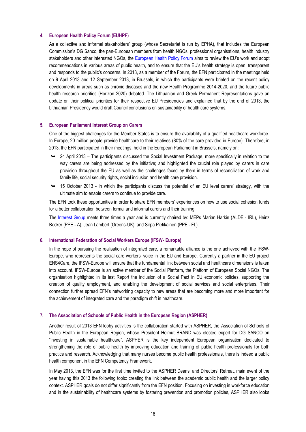#### **4. European Health Policy Forum (EUHPF)**

As a collective and informal stakeholders' group (whose Secretariat is run by EPHA), that includes the European Commission's DG Sanco, the pan-European members from health NGOs, professional organisations, health industry stakeholders and other interested NGOs, the [European Health Policy Forum](http://ec.europa.eu/health/interest_groups/eu_health_forum/policy_forum/index_en.htm) aims to review the EU's work and adopt recommendations in various areas of public health, and to ensure that the EU's health strategy is open, transparent and responds to the public's concerns. In 2013, as a member of the Forum, the EFN participated in the meetings held on 9 April 2013 and 12 September 2013, in Brussels, in which the participants were briefed on the recent policy developments in areas such as chronic diseases and the new Health Programme 2014-2020, and the future public health research priorities (Horizon 2020) debated. The Lithuanian and Greek Permanent Representations gave an update on their political priorities for their respective EU Presidencies and explained that by the end of 2013, the Lithuanian Presidency would draft Council conclusions on sustainability of health care systems.

#### **5. European Parliament Interest Group on Carers**

One of the biggest challenges for the Member States is to ensure the availability of a qualified healthcare workforce. In Europe, 20 million people provide healthcare to their relatives (80% of the care provided in Europe). Therefore, in 2013, the EFN participated in their meetings, held in the European Parliament in Brussels, namely on:

- 24 April 2013 The participants discussed the Social Investment Package, more specifically in relation to the way carers are being addressed by the initiative; and highlighted the crucial role played by carers in care provision throughout the EU as well as the challenges faced by them in terms of reconciliation of work and family life, social security rights, social inclusion and health care provision.
- $\rightarrow$  15 October 2013 in which the participants discuss the potential of an EU level carers' strategy, with the ultimate aim to enable carers to continue to provide care.

The EFN took these opportunities in order to share EFN members' experiences on how to use social cohesion funds for a better collaboration between formal and informal carers and their training.

The [Interest Group](http://www.eurocarers.org/euactivities_mepsinterestgroups.php) meets three times a year and is currently chaired by: MEPs Marian Harkin (ALDE - IRL), Heinz Becker (PPE - A), Jean Lambert (Greens-UK), and Sirpa Pietikainen (PPE - FL).

#### **6. International Federation of Social Workers Europe (IFSW- Europe)**

In the hope of pursuing the realisation of integrated care, a remarkable alliance is the one achieved with the IFSW-Europe, who represents the social care workers' voice in the EU and Europe. Currently a partner in the EU project ENS4Care, the IFSW-Europe will ensure that the fundamental link between social and healthcare dimensions is taken into account. IFSW-Europe is an active member of the Social Platform, the Platform of European Social NGOs. The organisation highlighted in its last Report the inclusion of a Social Pact in EU economic policies, supporting the creation of quality employment, and enabling the development of social services and social enterprises. Their connection further spread EFN's networking capacity to new areas that are becoming more and more important for the achievement of integrated care and the paradigm shift in healthcare.

#### **7. The Association of Schools of Public Health in the European Region (ASPHER)**

Another result of 2013 EFN lobby activities is the collaboration started with ASPHER, the Association of Schools of Public Health in the European Region, whose President Helmut BRAND was elected expert for DG SANCO on "investing in sustainable healthcare". ASPHER is the key independent European organisation dedicated to strengthening the role of public health by improving education and training of public health professionals for both practice and research. Acknowledging that many nurses become public health professionals, there is indeed a public health component in the EFN Competency Framework.

In May 2013, the EFN was for the first time invited to the ASPHER Deans' and Directors' Retreat, main event of the year having this 2013 the following topic: creating the link between the academic public health and the larger policy context. ASPHER goals do not differ significantly from the EFN position. Focusing on investing in workforce education and in the sustainability of healthcare systems by fostering prevention and promotion policies, ASPHER also looks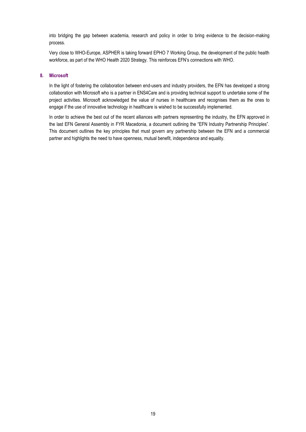into bridging the gap between academia, research and policy in order to bring evidence to the decision-making process.

Very close to WHO-Europe, ASPHER is taking forward EPHO 7 Working Group, the development of the public health workforce, as part of the WHO Health 2020 Strategy. This reinforces EFN's connections with WHO.

#### **8. Microsoft**

In the light of fostering the collaboration between end-users and industry providers, the EFN has developed a strong collaboration with Microsoft who is a partner in ENS4Care and is providing technical support to undertake some of the project activities. Microsoft acknowledged the value of nurses in healthcare and recognises them as the ones to engage if the use of innovative technology in healthcare is wished to be successfully implemented.

In order to achieve the best out of the recent alliances with partners representing the industry, the EFN approved in the last EFN General Assembly in FYR Macedonia, a document outlining the "EFN Industry Partnership Principles". This document outlines the key principles that must govern any partnership between the EFN and a commercial partner and highlights the need to have openness, mutual benefit, independence and equality.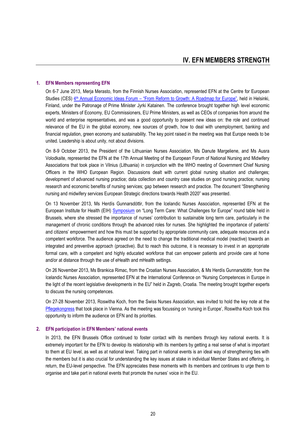#### **1. EFN Members representing EFN**

On 6-7 June 2013, Merja Merasto, from the Finnish Nurses Association, represented EFN at the Centre for European Studies (CES) 4<sup>th</sup> Annual Economic Ideas Forum – ["From Reform to Growth: A Roadmap for Europe"](http://thinkingeurope.eu/events/eif13), held in Helsinki, Finland, under the Patronage of Prime Minister Jyrki Katainen. The conference brought together high level economic experts, Ministers of Economy, EU Commissioners, EU Prime Ministers, as well as CEOs of companies from around the world and enterprise representatives, and was a good opportunity to present new ideas on: the role and continued relevance of the EU in the global economy, new sources of growth, how to deal with unemployment, banking and financial regulation, green economy and sustainability. The key point raised in the meeting was that Europe needs to be united. Leadership is about unity, not about divisions.

On 8-9 October 2013, the President of the Lithuanian Nurses Association, Ms Danute Margeliene, and Ms Ausra Volodkaite, represented the EFN at the 17th Annual Meeting of the European Forum of National Nursing and Midwifery Associations that took place in Vilnius (Lithuania) in conjunction with the WHO meeting of Government Chief Nursing Officers in the WHO European Region. Discussions dealt with current global nursing situation and challenges; development of advanced nursing practice; data collection and country case studies on good nursing practice; nursing research and economic benefits of nursing services; gap between research and practice. The document "Strengthening nursing and midwifery services European Strategic directions towards Health 2020" was presented.

On 13 November 2013, Ms Herdís Gunnarsdóttir, from the Icelandic Nurses Association, represented EFN at the European Institute for Health (EIH) [Symposium](http://eih-eu.eu/2013Conference/index.html) on "Long Term Care: What Challenges for Europe" round table held in Brussels, where she stressed the importance of nurses' contribution to sustainable long term care, particularly in the management of chronic conditions through the advanced roles for nurses. She highlighted the importance of patients' and citizens' empowerment and how this must be supported by appropriate community care, adequate resources and a competent workforce. The audience agreed on the need to change the traditional medical model (reactive) towards an integrated and preventive approach (proactive). But to reach this outcome, it is necessary to invest in an appropriate formal care, with a competent and highly educated workforce that can empower patients and provide care at home and/or at distance through the use of eHealth and mHealth settings.

On 26 November 2013, Ms Brankica Rimac, from the Croatian Nurses Association, & Ms Herdís Gunnarsdóttir, from the Icelandic Nurses Association, represented EFN at the International Conference on "Nursing Competences in Europe in the light of the recent legislative developments in the EU" held in Zagreb, Croatia. The meeting brought together experts to discuss the nursing competences.

On 27-28 November 2013, Roswitha Koch, from the Swiss Nurses Association, was invited to hold the key note at the [Pflegekongress](http://www.pflegekongress.at/) that took place in Vienna. As the meeting was focussing on 'nursing in Europe', Roswitha Koch took this opportunity to inform the audience on EFN and its priorities.

#### **2. EFN participation in EFN Members' national events**

In 2013, the EFN Brussels Office continued to foster contact with its members through key national events. It is extremely important for the EFN to develop its relationship with its members by getting a real sense of what is important to them at EU level, as well as at national level. Taking part in national events is an ideal way of strengthening ties with the members but it is also crucial for understanding the key issues at stake in individual Member States and offering, in return, the EU-level perspective. The EFN appreciates these moments with its members and continues to urge them to organise and take part in national events that promote the nurses' voice in the EU.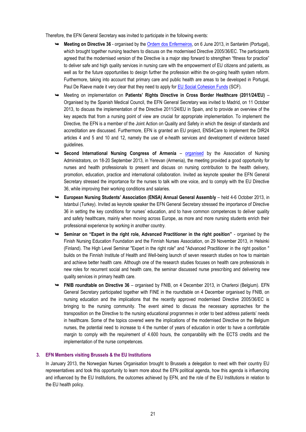Therefore, the EFN General Secretary was invited to participate in the following events:

- **Meeting on Directive 36** organised by th[e Ordem dos Enfermeiros,](http://www.ordemenfermeiros.pt/) on 6 June 2013, in Santarém (Portugal), which brought together nursing teachers to discuss on the modernised Directive 2005/36/EC. The participants agreed that the modernised version of the Directive is a major step forward to strengthen "fitness for practice" to deliver safe and high quality services in nursing care with the empowerment of EU citizens and patients, as well as for the future opportunities to design further the profession within the on-going health system reform. Furthermore, taking into account that primary care and public health are areas to be developed in Portugal, Paul De Raeve made it very clear that they need to apply for [EU Social Cohesion Funds](http://ec.europa.eu/regional_policy/thefunds/cohesion/index_en.cfm) (SCF).
- Meeting on implementation on **Patients' Rights Directive in Cross Border Healthcare (2011/24/EU)** Organised by the Spanish Medical Council, the EFN General Secretary was invited to Madrid, on 11 October 2013, to discuss the implementation of the Directive 2011/24/EU in Spain, and to provide an overview of the key aspects that from a nursing point of view are crucial for appropriate implementation. To implement the Directive, the EFN is a member of the Joint Action on Quality and Safety in which the design of standards and accreditation are discussed. Furthermore, EFN is granted an EU project, ENS4Care to implement the DIR24 articles 4 and 5 and 10 and 12, namely the use of e-health services and development of evidence based guidelines.
- **Second International Nursing Congress of Armenia** [organised](http://www.nursingcongress.am/) by the Association of Nursing Administrators, on 18-20 September 2013, in Yerevan (Armenia), the meeting provided a good opportunity for nurses and health professionals to present and discuss on nursing contribution to the health delivery, promotion, education, practice and international collaboration. Invited as keynote speaker the EFN General Secretary stressed the importance for the nurses to talk with one voice, and to comply with the EU Directive 36, while improving their working conditions and salaries.
- **European Nursing Students' Association (ENSA) Annual General Assembly** held 4-6 October 2013, in Istanbul (Turkey). Invited as keynote speaker the EFN General Secretary stressed the importance of Directive 36 in setting the key conditions for nurses' education, and to have common competences to deliver quality and safety healthcare, mainly when moving across Europe, as more and more nursing students enrich their professional experience by working in another country.
- **Seminar on "Expert in the right role, Advanced Practitioner in the right position"** organised by the Finish Nursing Education Foundation and the Finnish Nurses Association, on 29 November 2013, in Helsinki (Finland). The High Level Seminar "Expert in the right role" and "Advanced Practitioner in the right position " builds on the Finnish Institute of Health and Well-being launch of seven research studies on how to maintain and achieve better health care. Although one of the research studies focuses on health care professionals in new roles for recurrent social and health care, the seminar discussed nurse prescribing and delivering new quality services in primary health care.
- **FNIB roundtable on Directive 36**  organised by FNIB, on 4 December 2013, in Charleroi (Belgium). EFN General Secretary participated together with FINE in the roundtable on 4 December organised by FNIB, on nursing education and the implications that the recently approved modernised Directive 2005/36/EC is bringing to the nursing community. The event aimed to discuss the necessary approaches for the transposition on the Directive to the nursing educational programmes in order to best address patients' needs in healthcare. Some of the topics covered were the implications of the modernised Directive on the Belgium nurses, the potential need to increase to 4 the number of years of education in order to have a comfortable margin to comply with the requirement of 4.600 hours, the comparability with the ECTS credits and the implementation of the nurse competences.

#### **3. EFN Members visiting Brussels & the EU Institutions**

In January 2013, the Norwegian Nurses Organisation brought to Brussels a delegation to meet with their country EU representatives and took this opportunity to learn more about the EFN political agenda, how this agenda is influencing and influenced by the EU Institutions, the outcomes achieved by EFN, and the role of the EU Institutions in relation to the EU health policy.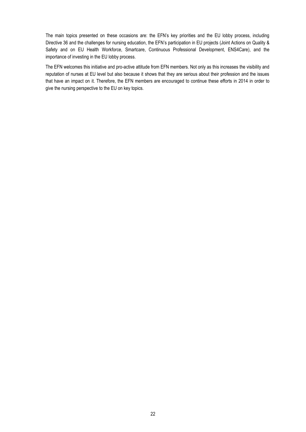The main topics presented on these occasions are: the EFN's key priorities and the EU lobby process, including Directive 36 and the challenges for nursing education, the EFN's participation in EU projects (Joint Actions on Quality & Safety and on EU Health Workforce, Smartcare, Continuous Professional Development, ENS4Care), and the importance of investing in the EU lobby process.

The EFN welcomes this initiative and pro-active attitude from EFN members. Not only as this increases the visibility and reputation of nurses at EU level but also because it shows that they are serious about their profession and the issues that have an impact on it. Therefore, the EFN members are encouraged to continue these efforts in 2014 in order to give the nursing perspective to the EU on key topics.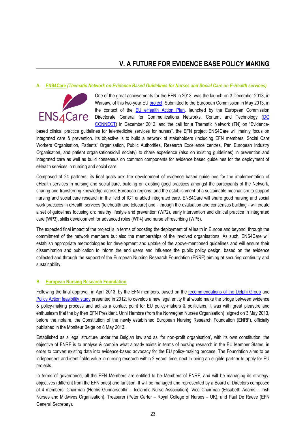### **V. A FUTURE FOR EVIDENCE BASE POLICY MAKING**

#### **A. ENS4Care** *(Thematic Network on Evidence Based Guidelines for Nurses and Social Care on E-Health services)*



One of the great achievements for the EFN in 2013, was the launch on 3 December 2013, in Warsaw, of this two-year EU [project.](http://www.ens4care.eu/) Submitted to the European Commission in May 2013, in the context of the [EU eHealth Action Plan,](http://ec.europa.eu/digital-agenda/en/news/ehealth-action-plan-2012-2020-innovative-healthcare-21st-century) launched by the European Commission Directorate General for Communications Networks, Content and Technology [\(DG](http://ec.europa.eu/dgs/connect/)  [CONNECT](http://ec.europa.eu/dgs/connect/)) in December 2012, and the call for a Thematic Network (TN) on "Evidence-

based clinical practice guidelines for telemedicine services for nurses", the EFN project ENS4Care will mainly focus on integrated care & prevention. Its objective is to build a network of stakeholders (including EFN members, Social Care Workers Organisation, Patients' Organisation, Public Authorities, Research Excellence centres, Pan European Industry Organisation, and patient organisations/civil society) to share experience (also on existing guidelines) in prevention and integrated care as well as build consensus on common components for evidence based guidelines for the deployment of eHealth services in nursing and social care.

Composed of 24 partners, its final goals are: the development of evidence based guidelines for the implementation of eHealth services in nursing and social care, building on existing good practices amongst the participants of the Network, sharing and transferring knowledge across European regions; and the establishment of a sustainable mechanism to support nursing and social care research in the field of ICT enabled integrated care. ENS4Care will share good nursing and social work practices in eHealth services (telehealth and telecare) and - through the evaluation and consensus building - will create a set of guidelines focusing on: healthy lifestyle and prevention (WP2), early intervention and clinical practice in integrated care (WP3), skills development for advanced roles (WP4) and nurse ePrescribing (WP5).

The expected final impact of the project is in terms of boosting the deployment of eHealth in Europe and beyond, through the commitment of the network members but also the memberships of the involved organisations. As such, ENS4Care will establish appropriate methodologies for development and uptake of the above-mentioned guidelines and will ensure their dissemination and publication to inform the end users and influence the public policy design, based on the evidence collected and through the support of the European Nursing Research Foundation (ENRF) aiming at securing continuity and sustainability.

#### **B. European Nursing Research Foundation**

Following the final approval, in April 2013, by the EFN members, based on the [recommendations of the Delphi Group](http://www.efnweb.be/wp-content/uploads/2013/02/Delphi-Group-Recommendation-on-Policy-Action-Recommendations.pdf) and [Policy Action feasibility study](http://www.efnweb.be/wp-content/uploads/2013/02/EFN-Feasibility-Study-FINAL-27-09-2012.pdf) presented in 2012, to develop a new legal entity that would make the bridge between evidence & policy-making process and act as a contact point for EU policy-makers & politicians, it was with great pleasure and enthusiasm that the by then EFN President, Unni Hembre (from the Norwegian Nurses Organisation), signed on 3 May 2013, before the notaire, the Constitution of the newly established European Nursing Research Foundation (ENRF), officially published in the Moniteur Belge on 8 May 2013.

Established as a legal structure under the Belgian law and as 'for non-profit organisation', with its own constitution, the objective of ENRF is to analyse & compile what already exists in terms of nursing research in the EU Member States, in order to convert existing data into evidence-based advocacy for the EU policy-making process. The Foundation aims to be independent and identifiable value in nursing research within 2 years' time, next to being an eligible partner to apply for EU projects.

In terms of governance, all the EFN Members are entitled to be Members of ENRF, and will be managing its strategy, objectives (different from the EFN ones) and function. It will be managed and represented by a Board of Directors composed of 4 members: Chairman (Herdis Gunnarsdottir – Icelandic Nurse Association), Vice Chairman (Elisabeth Adams – Irish Nurses and Midwives Organisation), Treasurer (Peter Carter – Royal College of Nurses – UK), and Paul De Raeve (EFN General Secretary).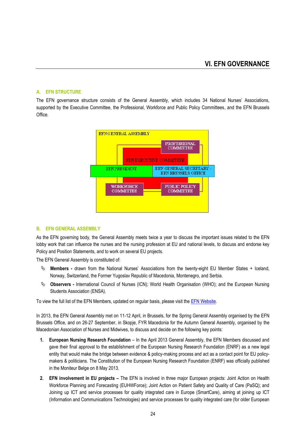#### **A. EFN STRUCTURE**

The EFN governance structure consists of the General Assembly, which includes 34 National Nurses' Associations, supported by the Executive Committee, the Professional, Workforce and Public Policy Committees, and the EFN Brussels Office.



#### **B. EFN GENERAL ASSEMBLY**

As the EFN governing body, the General Assembly meets twice a year to discuss the important issues related to the EFN lobby work that can influence the nurses and the nursing profession at EU and national levels, to discuss and endorse key Policy and Position Statements, and to work on several EU projects.

The EFN General Assembly is constituted of:

- **Members -** drawn from the National Nurses' Associations from the twenty-eight EU Member States + Iceland, Norway, Switzerland, the Former Yugoslav Republic of Macedonia, Montenegro, and Serbia.
- **Observers -** International Council of Nurses (ICN); World Health Organisation (WHO); and the European Nursing Students Association (ENSA).

To view the full list of the EFN Members, updated on regular basis, please visit th[e EFN Website.](http://www.efnweb.be/?page_id=802)

In 2013, the EFN General Assembly met on 11-12 April, in Brussels, for the Spring General Assembly organised by the EFN Brussels Office, and on 26-27 September, in Skopje, FYR Macedonia for the Autumn General Assembly, organised by the Macedonian Association of Nurses and Midwives, to discuss and decide on the following key points:

- **1. European Nursing Research Foundation**  In the April 2013 General Assembly, the EFN Members discussed and gave their final approval to the establishment of the European Nursing Research Foundation (ENRF) as a new legal entity that would make the bridge between evidence & policy-making process and act as a contact point for EU policymakers & politicians. The Constitution of the European Nursing Research Foundation (ENRF) was officially published in the Moniteur Belge on 8 May 2013.
- **2. EFN involvement in EU projects –** The EFN is involved in three major European projects: Joint Action on Health Workforce Planning and Forecasting (EUHWForce); Joint Action on Patient Safety and Quality of Care (PaSQ); and Joining up ICT and service processes for quality integrated care in Europe (SmartCare), aiming at joining up ICT (Information and Communications Technologies) and service processes for quality integrated care (for older European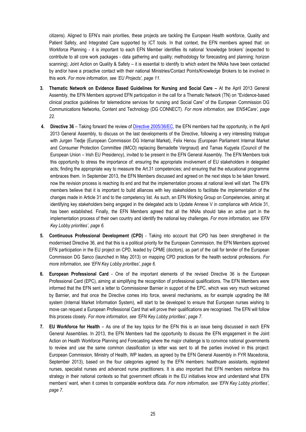citizens). Aligned to EFN's main priorities, these projects are tackling the European Health workforce, Quality and Patient Safety, and Integrated Care supported by ICT tools. In that context, the EFN members agreed that: on Workforce Planning - it is important to each EFN Member identifies its national 'knowledge brokers' (expected to contribute to all core work packages - data gathering and quality; methodology for forecasting and planning; horizon scanning); Joint Action on Quality & Safety – it is essential to identify to which extent the NNAs have been contacted by and/or have a proactive contact with their national Ministries/Contact Points/Knowledge Brokers to be involved in this work. *For more information, see 'EU Projects', page 11.*

- **3. Thematic Network on Evidence Based Guidelines for Nursing and Social Care –** At the April 2013 General Assembly, the EFN Members approved EFN participation in the call for a Thematic Network (TN) on "Evidence-based clinical practice guidelines for telemedicine services for nursing and Social Care" of the European Commission DG Communications Networks, Content and Technology (DG CONNECT). *For more information, see 'ENS4Care', page 22.*
- **4. Directive 36** Taking forward the review of [Directive 2005/36/EC,](http://ec.europa.eu/internal_market/qualifications/policy_developments/legislation/index_en.htm) the EFN members had the opportunity, in the April 2013 General Assembly, to discuss on the last developments of the Directive, following a very interesting trialogue with Jurgen Tiedje (European Commission DG Internal Market), Felix Henou (European Parliament Internal Market and Consumer Protection Committee (IMCO) replacing Bernadette Vergnaud) and Tamas Kugyela (Council of the European Union – Irish EU Presidency), invited to be present in the EFN General Assembly. The EFN Members took this opportunity to stress the importance of: ensuring the appropriate involvement of EU stakeholders in delegated acts; finding the appropriate way to measure the Art.31 competencies; and ensuring that the educational programme embraces them. In September 2013, the EFN Members discussed and agreed on the next steps to be taken forward, now the revision process is reaching its end and that the implementation process at national level will start. The EFN members believe that it is important to build alliances with key stakeholders to facilitate the implementation of the changes made in Article 31 and to the competency list. As such, an EFN Working Group on Competencies, aiming at identifying key stakeholders being engaged in the delegated acts to Update Annexe V in compliance with Article 31, has been established. Finally, the EFN Members agreed that all the NNAs should take an active part in the implementation process of their own country and identify the national key challenges. *For more information, see 'EFN Key Lobby priorities', page 6.*
- **5. Continuous Professional Development (CPD)** Taking into account that CPD has been strengthened in the modernised Directive 36, and that this is a political priority for the European Commission, the EFN Members approved EFN participation in the EU project on CPD, leaded by CPME (doctors), as part of the call for tender of the European Commission DG Sanco (launched in May 2013) on mapping CPD practices for the health sectoral professions. *For more information, see 'EFN Key Lobby priorities', page 6.*
- **6. European Professional Card** One of the important elements of the revised Directive 36 is the European Professional Card (EPC), aiming at simplifying the recognition of professional qualifications. The EFN Members were informed that the EFN sent a letter to Commissioner Barnier in support of the EPC, which was very much welcomed by Barnier, and that once the Directive comes into force, several mechanisms, as for example upgrading the IMI system (Internal Market Information System), will start to be developed to ensure that European nurses wishing to move can request a European Professional Card that will prove their qualifications are recognised. The EFN will follow this process closely. *For more information, see 'EFN Key Lobby priorities', page 7.*
- **7. EU Workforce for Health** As one of the key topics for the EFN this is an issue being discussed in each EFN General Assemblies. In 2013, the EFN Members had the opportunity to discuss the EFN engagement in the Joint Action on Health Workforce Planning and Forecasting where the major challenge is to convince national governments to review and use the same common classification (a letter was sent to all the parties involved in this project: European Commission, Ministry of Health, WP leaders, as agreed by the EFN General Assembly in FYR Macedonia, September 2013), based on the four categories agreed by the EFN members: healthcare assistants, registered nurses, specialist nurses and advanced nurse practitioners. It is also important that EFN members reinforce this strategy in their national contexts so that government officials in the EU initiatives know and understand what EFN members' want, when it comes to comparable workforce data. *For more information, see 'EFN Key Lobby priorities', page 7.*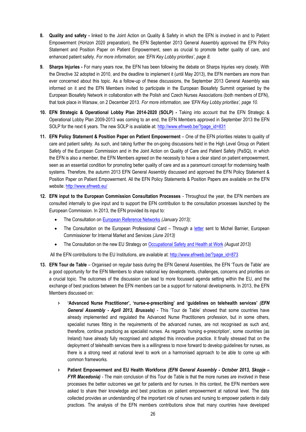- **8. Quality and safety -** linked to the Joint Action on Quality & Safety in which the EFN is involved in and to Patient Empowerment (Horizon 2020 preparation), the EFN September 2013 General Assembly approved the EFN Policy Statement and Position Paper on Patient Empowerment, seen as crucial to promote better quality of care, and enhanced patient safety. *For more information, see 'EFN Key Lobby priorities', page 8.*
- **9. Sharps Injuries -** For many years now, the EFN has been following the debate on Sharps Injuries very closely. With the Directive 32 adopted in 2010, and the deadline to implement it (until May 2013), the EFN members are more than ever concerned about this topic. As a follow-up of these discussions, the September 2013 General Assembly was informed on it and the EFN Members invited to participate in the European Biosafety Summit organised by the European Biosafety Network in collaboration with the Polish and Czech Nurses Associations (both members of EFN), that took place in Warsaw, on 2 December 2013. *For more information, see 'EFN Key Lobby priorities', page 10.*
- **10. EFN Strategic & Operational Lobby Plan 2014-2020 (SOLP) -** Taking into account that the EFN Strategic & Operational Lobby Plan 2009-2013 was coming to an end, the EFN Members approved in September 2013 the EFN SOLP for the next 6 years. The new SOLP is available at: [http://www.efnweb.be/?page\\_id=831](http://www.efnweb.be/?page_id=831)
- **11. EFN Policy Statement & Position Paper on Patient Empowerment** One of the EFN priorities relates to quality of care and patient safety. As such, and taking further the on-going discussions held in the High Level Group on Patient Safety of the European Commission and in the Joint Action on Quality of Care and Patient Safety (PaSQ), in which the EFN is also a member, the EFN Members agreed on the necessity to have a clear stand on patient empowerment, seen as an essential condition for promoting better quality of care and as a paramount concept for modernising health systems. Therefore, the autumn 2013 EFN General Assembly discussed and approved the EFN Policy Statement & Position Paper on Patient Empowerment. All the EFN Policy Statements & Position Papers are available on the EFN website:<http://www.efnweb.eu/>
- **12. EFN input to the European Commission Consultation Processes** Throughout the year, the EFN members are consulted internally to give input and to support the EFN contribution to the consultation processes launched by the European Commission. In 2013, the EFN provided its input to:
	- The Consultation on [European Reference Networks](http://www.efnweb.be/wp-content/uploads/2011/09/EFN-Public-Consultation-on-ERN_Final-25.01.2013.pdf) *(January 2013);*
	- The Consultation on the European Professional Card Through a [letter](http://www.efnweb.be/wp-content/uploads/2011/09/Letter-to-Michel-Barnier-EPC-Nurses-03-06-2013.pdf) sent to Michel Barnier, European Commissioner for Internal Market and Services *(June 2013)*
	- The Consultation on the new EU Strategy o[n Occupational Safety and Health at Work](http://www.efnweb.be/wp-content/uploads/2011/09/EFN-input-to-Public-consultation-on-the-new-EU-OSH-strategy_23-08-2013.pdf) *(August 2013)*

All the EFN contributions to the EU Institutions, are available at: [http://www.efnweb.be/?page\\_id=873](http://www.efnweb.be/?page_id=873)

- **13. EFN Tour de Table** Organised on regular basis during the EFN General Assemblies, the EFN 'Tours de Table' are a good opportunity for the EFN Members to share national key developments, challenges, concerns and priorities on a crucial topic. The outcomes of the discussion can lead to more focussed agenda setting within the EU, and the exchange of best practices between the EFN members can be a support for national developments. In 2013, the EFN Members discussed on:
	- **'Advanced Nurse Practitioner', 'nurse-e-prescribing' and 'guidelines on telehealth services'** *(EFN General Assembly - April 2013, Brussels)* - This 'Tour de Table' showed that some countries have already implemented and regulated the Advanced Nurse Practitioners profession, but in some others, specialist nurses fitting in the requirements of the advanced nurses, are not recognised as such and, therefore, continue practicing as specialist nurses. As regards 'nursing e-prescription', some countries (as Ireland) have already fully recognised and adopted this innovative practice. It finally stressed that on the deployment of telehealth services there is a willingness to move forward to develop guidelines for nurses, as there is a strong need at national level to work on a harmonised approach to be able to come up with common frameworks.
	- **Patient Empowerment and EU Health Workforce** *(EFN General Assembly - October 2013, Skopje – FYR Macedonia)* - The main conclusion of this Tour de Table is that the more nurses are involved in these processes the better outcomes we get for patients and for nurses. In this context, the EFN members were asked to share their knowledge and best practices on patient empowerment at national level. The data collected provides an understanding of the important role of nurses and nursing to empower patients in daily practices. The analysis of the EFN members contributions show that many countries have developed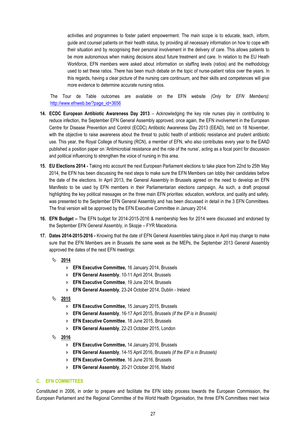activities and programmes to foster patient empowerment. The main scope is to educate, teach, inform, guide and counsel patients on their health status, by providing all necessary information on how to cope with their situation and by recognising their personal involvement in the delivery of care. This allows patients to be more autonomous when making decisions about future treatment and care. In relation to the EU Heath Workforce, EFN members were asked about information on staffing levels (ratios) and the methodology used to set these ratios. There has been much debate on the topic of nurse-patient ratios over the years. In this regards, having a clear picture of the nursing care continuum, and their skills and competences will give more evidence to determine accurate nursing ratios.

The Tour de Table outcomes are available on the EFN website *(Only for EFN Members)*: [http://www.efnweb.be/?page\\_id=3656](http://www.efnweb.be/?page_id=3656)

- **14. ECDC European Antibiotic Awareness Day 2013** Acknowledging the key role nurses play in contributing to reduce infection, the September EFN General Assembly approved, once again, the EFN involvement in the European Centre for Disease Prevention and Control (ECDC) Antibiotic Awareness Day 2013 (EEAD), held on 18 November, with the objective to raise awareness about the threat to public health of antibiotic resistance and prudent antibiotic use. This year, the Royal College of Nursing (RCN), a member of EFN, who also contributes every year to the EAAD published a position paper on 'Antimicrobial resistance and the role of the nurse', acting as a focal point for discussion and political influencing to strengthen the voice of nursing in this area.
- **15. EU Elections 2014 -** Taking into account the next European Parliament elections to take place from 22nd to 25th May 2014, the EFN has been discussing the next steps to make sure the EFN Members can lobby their candidates before the date of the elections. In April 2013, the General Assembly in Brussels agreed on the need to develop an EFN Manifesto to be used by EFN members in their Parliamentarian elections campaign. As such, a draft proposal highlighting the key political messages on the three main EFN priorities: education, workforce, and quality and safety, was presented to the September EFN General Assembly and has been discussed in detail in the 3 EFN Committees. The final version will be approved by the EFN Executive Committee in January 2014.
- **16. EFN Budget –** The EFN budget for 2014-2015-2016 & membership fees for 2014 were discussed and endorsed by the September EFN General Assembly, in Skopje – FYR Macedonia.
- **17. Dates 2014-2015-2016 -** Knowing that the date of EFN General Assemblies taking place in April may change to make sure that the EFN Members are in Brussels the same week as the MEPs, the September 2013 General Assembly approved the dates of the next EFN meetings:
	- **2014**
		- **EFN Executive Committee,** 16 January 2014, Brussels
		- **EFN General Assembly**, 10-11 April 2014, Brussels
		- **EFN Executive Committee**, 19 June 2014, Brussels
		- **EFN General Assembly**, 23-24 October 2014, Dublin Ireland
	- **2015**
		- **EFN Executive Committee,** 15 January 2015, Brussels
		- **EFN General Assembly**, 16-17 April 2015, Brussels *(if the EP is in Brussels)*
		- **EFN Executive Committee**, 18 June 2015, Brussels
		- **EFN General Assembly**, 22-23 October 2015, London
	- **2016**
		- **EFN Executive Committee,** 14 January 2016, Brussels
		- **EFN General Assembly**, 14-15 April 2016, Brussels *(if the EP is in Brussels)*
		- **EFN Executive Committee**, 16 June 2016, Brussels
		- **EFN General Assembly**, 20-21 October 2016, Madrid

#### **C. EFN COMMITTEES**

Constituted in 2006, in order to prepare and facilitate the EFN lobby process towards the European Commission, the European Parliament and the Regional Committee of the World Health Organisation, the three EFN Committees meet twice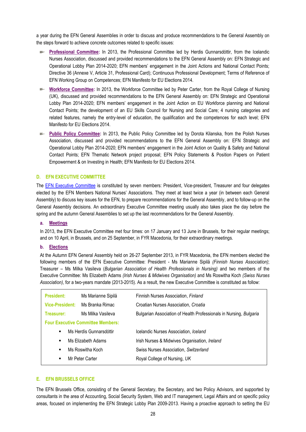a year during the EFN General Assemblies in order to discuss and produce recommendations to the General Assembly on the steps forward to achieve concrete outcomes related to specific issues:

- **Professional Committee:** In 2013, the Professional Committee led by Herdis Gunnarsdóttir, from the Icelandic Nurses Association, discussed and provided recommendations to the EFN General Assembly on: EFN Strategic and Operational Lobby Plan 2014-2020; EFN members' engagement in the Joint Actions and National Contact Points; Directive 36 (Annexe V, Article 31, Professional Card); Continuous Professional Development; Terms of Reference of EFN Working Group on Competences; EFN Manifesto for EU Elections 2014.
- **Workforce Committee:** In 2013, the Workforce Committee led by Peter Carter, from the Royal College of Nursing (UK), discussed and provided recommendations to the EFN General Assembly on: EFN Strategic and Operational Lobby Plan 2014-2020; EFN members' engagement in the Joint Action on EU Workforce planning and National Contact Points; the development of an EU Skills Council for Nursing and Social Care; 4 nursing categories and related features, namely the entry-level of education, the qualification and the competences for each level; EFN Manifesto for EU Elections 2014.
- **Public Policy Committee:** In 2013, the Public Policy Committee led by Dorota Kilanska, from the Polish Nurses Association, discussed and provided recommendations to the EFN General Assembly on: EFN Strategic and Operational Lobby Plan 2014-2020; EFN members' engagement in the Joint Action on Quality & Safety and National Contact Points; EFN Thematic Network project proposal; EFN Policy Statements & Position Papers on Patient Empowerment & on Investing in Health; EFN Manifesto for EU Elections 2014.

#### **D. EFN EXECUTIVE COMMITTEE**

The [EFN Executive Committee](http://www.efnweb.be/?page_id=806) is constituted by seven members: President, Vice-president, Treasurer and four delegates elected by the EFN Members National Nurses' Associations. They meet at least twice a year (in between each General Assembly) to discuss key issues for the EFN, to prepare recommendations for the General Assembly, and to follow-up on the General Assembly decisions. An extraordinary Executive Committee meeting usually also takes place the day before the spring and the autumn General Assemblies to set up the last recommendations for the General Assembly.

#### **a. Meetings**

In 2013, the EFN Executive Committee met four times: on 17 January and 13 June in Brussels, for their regular meetings; and on 10 April, in Brussels, and on 25 September, in FYR Macedonia, for their extraordinary meetings.

#### **b. Elections**

At the Autumn EFN General Assembly held on 26-27 September 2013, in FYR Macedonia, the EFN members elected the following members of the EFN Executive Committee: President - Ms Marianne Sipilä *(Finnish Nurses Association)*; Treasurer – Ms Milka Vasileva (*Bulgarian Association of Health Professionals in Nursing)* and two members of the Executive Committee: Ms Elizabeth Adams *(Irish Nurses & Midwives Organisation)* and Ms Roswitha Koch *(Swiss Nurses Association)*, for a two-years mandate (2013-2015). As a result, the new Executive Committee is constituted as follow:

| <b>President:</b>                                                        | Ms Marianne Sipilä      | Finnish Nurses Association, Finland                                |  |  |
|--------------------------------------------------------------------------|-------------------------|--------------------------------------------------------------------|--|--|
| <b>Vice-President:</b>                                                   | Ms Branka Rimac         | Croatian Nurses Association, Croatia                               |  |  |
| Treasurer:                                                               | Ms Milka Vasileva       | Bulgarian Association of Health Professionals in Nursing, Bulgaria |  |  |
| <b>Four Executive Committee Members:</b>                                 |                         |                                                                    |  |  |
| ٠                                                                        | Ms Herdís Gunnarsdóttir | Icelandic Nurses Association, Iceland                              |  |  |
| Ms Elizabeth Adams<br>٠<br>Ms Roswitha Koch<br>٠<br>Mr Peter Carter<br>٠ |                         | Irish Nurses & Midwives Organisation, Ireland                      |  |  |
|                                                                          |                         | Swiss Nurses Association, Switzerland                              |  |  |
|                                                                          |                         | Royal College of Nursing, UK                                       |  |  |
|                                                                          |                         |                                                                    |  |  |

#### **E. EFN BRUSSELS OFFICE**

Ξ

The EFN Brussels Office, consisting of the General Secretary, the Secretary, and two Policy Advisors, and supported by consultants in the area of Accounting, Social Security System, Web and IT management, Legal Affairs and on specific policy areas, focused on implementing the EFN Strategic Lobby Plan 2009-2013. Having a proactive approach to setting the EU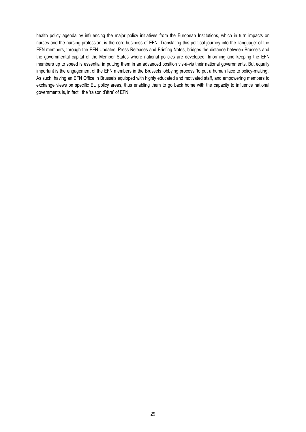health policy agenda by influencing the major policy initiatives from the European Institutions, which in turn impacts on nurses and the nursing profession, is the core business of EFN. Translating this political journey into the 'language' of the EFN members, through the EFN Updates, Press Releases and Briefing Notes, bridges the distance between Brussels and the governmental capital of the Member States where national policies are developed. Informing and keeping the EFN members up to speed is essential in putting them in an advanced position vis-à-vis their national governments. But equally important is the engagement of the EFN members in the Brussels lobbying process 'to put a human face to policy-making'. As such, having an EFN Office in Brussels equipped with highly educated and motivated staff, and empowering members to exchange views on specific EU policy areas, thus enabling them to go back home with the capacity to influence national governments is, in fact, the 'raison d'être' of EFN.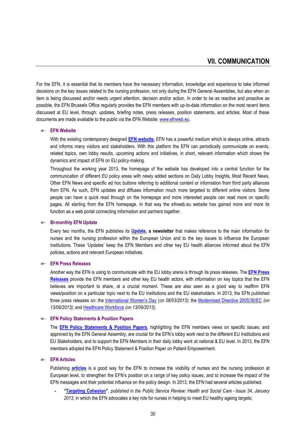For the EFN, it is essential that its members have the necessary information, knowledge and experience to take informed decisions on the key issues related to the nursing profession, not only during the EFN General Assemblies, but also when an item is being discussed and/or needs urgent attention, decision and/or action. In order to be as reactive and proactive as possible, the EFN Brussels Office regularly provides the EFN members with up-to-date information on the most recent items discussed at EU level, through: updates, briefing notes, press releases, position statements, and articles. Most of these documents are made available to the public via the EFN Website[: www.efnweb.eu.](http://www.efnweb.eu/) 

#### **EFN Website**

With the existing contemporary designed **[EFN website,](http://www.efnweb.eu/)** EFN has a powerful medium which is always online, attracts and informs many visitors and stakeholders. With this platform the EFN can periodically communicate on events, related topics, own lobby results, upcoming actions and initiatives, in short, relevant information which shows the dynamics and impact of EFN on EU policy-making.

Throughout the working year 2013, the homepage of the website has developed into a central function for the communication of different EU policy areas with newly added sections on Daily Lobby Insights, Most Recent News, Other EFN News and specific ad hoc buttons referring to additional content or information from third party alliances from EFN. As such, EFN updates and diffuses information much more targeted to different online visitors. Some people can have a quick read through on the homepage and more interested people can read more on specific pages. All starting from the EFN homepage. In that way the efnweb.eu website has gained more and more its function as a web portal connecting information and partners together.

#### **Bi-monthly EFN Update**

Every two months, the EFN publishes its **[Update,](http://www.efnweb.be/?page_id=875) a newsletter** that makes reference to the main information for nurses and the nursing profession within the European Union and to the key issues to influence the European Institutions. These 'Updates' keep the EFN Members and other key EU health alliances informed about the EFN policies, actions and relevant European initiatives.

#### **EFN Press Releases**

Another way the EFN is using to communicate with the EU lobby arena is through its press releases. The **[EFN Press](http://www.efnweb.be/?page_id=882)  [Releases](http://www.efnweb.be/?page_id=882)** provide the EFN members and other key EU health actors, with information on key topics that the EFN believes are important to share, at a crucial moment. These are also seen as a good way to reaffirm EFN views/position on a particular topic next to the EU Institutions and the EU stakeholders. In 2013, the EFN published three press releases on: the [International Women's Day](http://www.efnweb.be/wp-content/uploads/2011/09/EFN-Press-Release-International-Womens-Day-2013.pdf) (*on 08/03/2013)*; the [Modernised Directive 2005/36/EC](http://www.efnweb.be/wp-content/uploads/2011/09/EFN-Press-Release-DIR36-13-06-2013.pdf) *(on 13/06/2013)*; and [Healthcare Workforce](http://www.efnweb.be/wp-content/uploads/2011/09/EFN-Press-Release-Healthcare-Workforce-13-09-2013.pdf) *(on 13/09/2013)*.

#### **EFN Policy Statements & Position Papers**

The **[EFN Policy Statements & Position Papers](http://www.efnweb.be/?page_id=833)**, highlighting the EFN members views on specific issues, and approved by the EFN General Assembly, are crucial for the EFN's lobby work next to the different EU Institutions and EU Stakeholders, and to support the EFN Members in their daily lobby work at national & EU level. In 2013, the EFN members adopted the EFN Policy Statement & Position Paper on Patient Empowerment.

#### **EFN Articles**

Publishing **[articles](http://www.efnweb.be/?page_id=2258)** is a good way for the EFN to increase the visibility of nurses and the nursing profession at European level, to strengthen the EFN's position on a range of key policy issues, and to increase the impact of the EFN messages and their potential influence on the policy design. In 2013, the EFN had several articles published:

**- "[Targeting Cohesion](http://www.publicservice.co.uk/article.asp?publication=Health%20and%20Social%20Care&id=602&content_name=Community%20and%20Adult%20Social%20Care&article=21890)"**, *published in the Public Service Review: Health and Social Care - Issue 34, January 2013*, in which the EFN advocates a key role for nurses in helping to meet EU healthy ageing targets;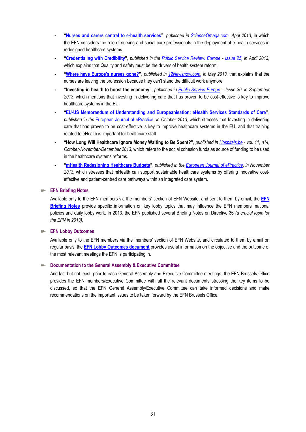- **- "[Nurses and carers central to e-health services](http://www.scienceomega.com/article/1019/nurses-and-carers-central-to-e-health-services)"**, *published in [ScienceOmega.com,](http://www.scienceomega.com/) April 2013*, in which the EFN considers the role of nursing and social care professionals in the deployment of e-health services in redesigned healthcare systems.
- **- "[Credentialing with Credibility](http://www.publicservice.co.uk/article.asp?publication=Europe&id=605&content_name=Health%20and%20Social%20Care&article=22367)"***, published in the [Public Service Review: Europe](http://www.publicservice.co.uk/pub_contents.asp?id=605&publication=Europe) - [Issue 25,](http://www.publicservice.co.uk/pub_contents.asp?id=605&publication=Europe) in April 2013,* which explains that Quality and safety must be the drivers of health system reform.
- **- "[Where have Europe's nurses gone?](http://www.12newsnow.com/story/22308006/where-have-europes-nurses-gone)"**, *published in [12Newsnow.com,](http://www.12newsnow.com/) in May 2013,* that explains that the nurses are leaving the profession because they can't stand the difficult work anymore.
- **- "Investing in health to boost the economy"**, *published in [Public Service Europe](http://www.publicserviceeurope.com/) – Issue 30, in September 2013*, which mentions that investing in delivering care that has proven to be cost-effective is key to improve healthcare systems in the EU.
- **- "[EU-US Memorandum of Understanding and Europeanisation: eHealth Services Standards of Care](http://www.efnweb.be/wp-admin/epractice.eu/files/08_Journal_Volume%2019_FINAL.pdf)"**, *published in the* [European Journal of ePractice](http://www.epractice.eu/)*, in October 2013,* which stresses that Investing in delivering care that has proven to be cost-effective is key to improve healthcare systems in the EU, and that training related to eHealth is important for healthcare staff.
- **- "How Long Will Healthcare Ignore Money Waiting to Be Spent?"**, *published in [Hospitals.be](http://www.hospitals.be/) - vol. 11, n°4, October-November-December 2013*, which refers to the social cohesion funds as source of funding to be used in the healthcare systems reforms.
- **- "[mHealth Redesigning Healthcare Budgets](http://epractice.eu/en/document/5420890)"**, *published in the [European Journal of ePractice,](http://www.epractice.eu/) in November 2013,* which stresses that mHealth can support sustainable healthcare systems by offering innovative costeffective and patient-centred care pathways within an integrated care system.

#### **EFN Briefing Notes**

Available only to the EFN members via the members' section of [EFN Website,](http://www.efnweb.eu/) and sent to them by email, the **[EFN](http://www.efnweb.be/?page_id=2295)  [Briefing Notes](http://www.efnweb.be/?page_id=2295)** provide specific information on key lobby topics that may influence the EFN members' national policies and daily lobby work. In 2013, the EFN published several Briefing Notes on Directive 36 *(a crucial topic for the EFN in 2013)*.

**EFN Lobby Outcomes**

Available only to the EFN members via the members' section of [EFN Website,](http://www.efnweb.eu/) and circulated to them by email on regular basis, the **[EFN Lobby Outcomes document](http://www.efnweb.be/?page_id=3996)** provides useful information on the objective and the outcome of the most relevant meetings the EFN is participating in.

#### **Documentation to the General Assembly & Executive Committee**

And last but not least, prior to each General Assembly and Executive Committee meetings, the EFN Brussels Office provides the EFN members/Executive Committee with all the relevant documents stressing the key items to be discussed, so that the EFN General Assembly/Executive Committee can take informed decisions and make recommendations on the important issues to be taken forward by the EFN Brussels Office.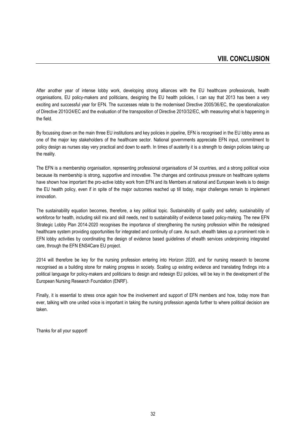After another year of intense lobby work, developing strong alliances with the EU healthcare professionals, health organisations, EU policy-makers and politicians, designing the EU health policies, I can say that 2013 has been a very exciting and successful year for EFN. The successes relate to the modernised Directive 2005/36/EC, the operationalization of Directive 2010/24/EC and the evaluation of the transposition of Directive 2010/32/EC, with measuring what is happening in the field.

By focussing down on the main three EU institutions and key policies in pipeline, EFN is recognised in the EU lobby arena as one of the major key stakeholders of the healthcare sector. National governments appreciate EFN input, commitment to policy design as nurses stay very practical and down to earth. In times of austerity it is a strength to design policies taking up the reality.

The EFN is a membership organisation, representing professional organisations of 34 countries, and a strong political voice because its membership is strong, supportive and innovative. The changes and continuous pressure on healthcare systems have shown how important the pro-active lobby work from EFN and its Members at national and European levels is to design the EU health policy, even if in spite of the major outcomes reached up till today, major challenges remain to implement innovation.

The sustainability equation becomes, therefore, a key political topic. Sustainability of quality and safety, sustainability of workforce for health, including skill mix and skill needs, next to sustainability of evidence based policy-making. The new EFN Strategic Lobby Plan 2014-2020 recognises the importance of strengthening the nursing profession within the redesigned healthcare system providing opportunities for integrated and continuity of care. As such, ehealth takes up a prominent role in EFN lobby activities by coordinating the design of evidence based guidelines of ehealth services underpinning integrated care, through the EFN ENS4Care EU project.

2014 will therefore be key for the nursing profession entering into Horizon 2020, and for nursing research to become recognised as a building stone for making progress in society. Scaling up existing evidence and translating findings into a political language for policy-makers and politicians to design and redesign EU policies, will be key in the development of the European Nursing Research Foundation (ENRF).

Finally, it is essential to stress once again how the involvement and support of EFN members and how, today more than ever, talking with one united voice is important in taking the nursing profession agenda further to where political decision are taken.

Thanks for all your support!